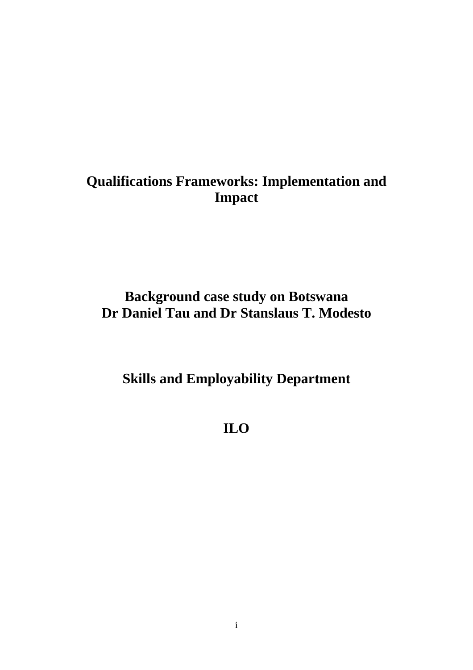## **Qualifications Frameworks: Implementation and Impact**

## **Background case study on Botswana Dr Daniel Tau and Dr Stanslaus T. Modesto**

**Skills and Employability Department** 

**ILO**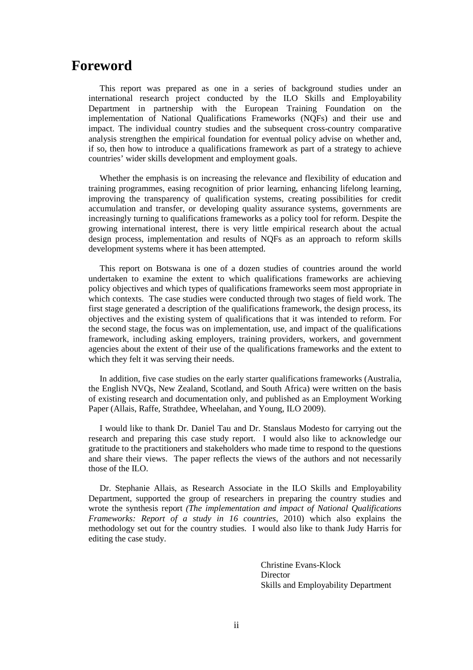### **Foreword**

This report was prepared as one in a series of background studies under an international research project conducted by the ILO Skills and Employability Department in partnership with the European Training Foundation on the implementation of National Qualifications Frameworks (NQFs) and their use and impact. The individual country studies and the subsequent cross-country comparative analysis strengthen the empirical foundation for eventual policy advise on whether and, if so, then how to introduce a qualifications framework as part of a strategy to achieve countries' wider skills development and employment goals.

Whether the emphasis is on increasing the relevance and flexibility of education and training programmes, easing recognition of prior learning, enhancing lifelong learning, improving the transparency of qualification systems, creating possibilities for credit accumulation and transfer, or developing quality assurance systems, governments are increasingly turning to qualifications frameworks as a policy tool for reform. Despite the growing international interest, there is very little empirical research about the actual design process, implementation and results of NQFs as an approach to reform skills development systems where it has been attempted.

This report on Botswana is one of a dozen studies of countries around the world undertaken to examine the extent to which qualifications frameworks are achieving policy objectives and which types of qualifications frameworks seem most appropriate in which contexts. The case studies were conducted through two stages of field work. The first stage generated a description of the qualifications framework, the design process, its objectives and the existing system of qualifications that it was intended to reform. For the second stage, the focus was on implementation, use, and impact of the qualifications framework, including asking employers, training providers, workers, and government agencies about the extent of their use of the qualifications frameworks and the extent to which they felt it was serving their needs.

In addition, five case studies on the early starter qualifications frameworks (Australia, the English NVQs, New Zealand, Scotland, and South Africa) were written on the basis of existing research and documentation only, and published as an Employment Working Paper (Allais, Raffe, Strathdee, Wheelahan, and Young, ILO 2009).

I would like to thank Dr. Daniel Tau and Dr. Stanslaus Modesto for carrying out the research and preparing this case study report. I would also like to acknowledge our gratitude to the practitioners and stakeholders who made time to respond to the questions and share their views. The paper reflects the views of the authors and not necessarily those of the ILO.

Dr. Stephanie Allais, as Research Associate in the ILO Skills and Employability Department, supported the group of researchers in preparing the country studies and wrote the synthesis report *(The implementation and impact of National Qualifications Frameworks: Report of a study in 16 countries*, 2010) which also explains the methodology set out for the country studies. I would also like to thank Judy Harris for editing the case study.

> Christine Evans-Klock **Director** Skills and Employability Department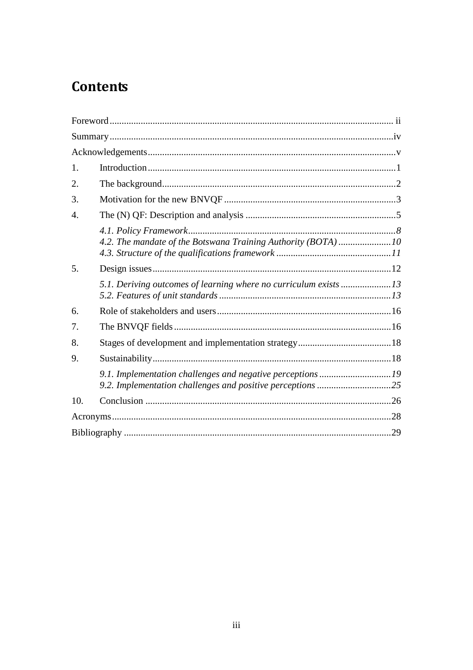## **Contents**

| 1.               |                                                                  |  |
|------------------|------------------------------------------------------------------|--|
| 2.               |                                                                  |  |
| 3.               |                                                                  |  |
| $\overline{4}$ . |                                                                  |  |
|                  | 4.2. The mandate of the Botswana Training Authority (BOTA) 10    |  |
| 5.               |                                                                  |  |
|                  | 5.1. Deriving outcomes of learning where no curriculum exists 13 |  |
| 6.               |                                                                  |  |
| 7.               |                                                                  |  |
| 8.               |                                                                  |  |
| 9.               |                                                                  |  |
|                  | 9.1. Implementation challenges and negative perceptions19        |  |
| 10.              |                                                                  |  |
|                  |                                                                  |  |
|                  |                                                                  |  |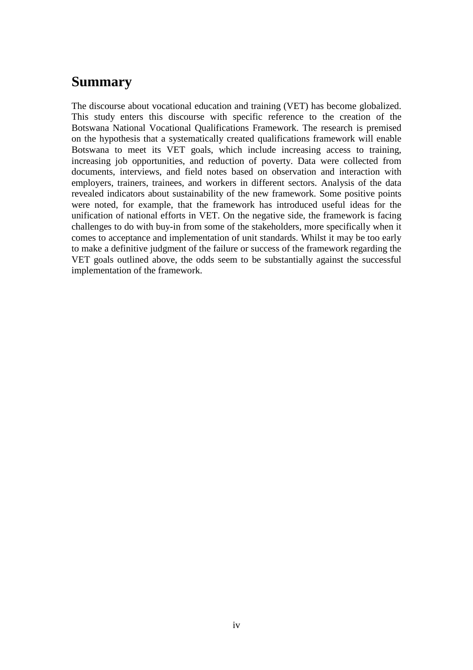### **Summary**

The discourse about vocational education and training (VET) has become globalized. This study enters this discourse with specific reference to the creation of the Botswana National Vocational Qualifications Framework. The research is premised on the hypothesis that a systematically created qualifications framework will enable Botswana to meet its VET goals, which include increasing access to training, increasing job opportunities, and reduction of poverty. Data were collected from documents, interviews, and field notes based on observation and interaction with employers, trainers, trainees, and workers in different sectors. Analysis of the data revealed indicators about sustainability of the new framework. Some positive points were noted, for example, that the framework has introduced useful ideas for the unification of national efforts in VET. On the negative side, the framework is facing challenges to do with buy-in from some of the stakeholders, more specifically when it comes to acceptance and implementation of unit standards. Whilst it may be too early to make a definitive judgment of the failure or success of the framework regarding the VET goals outlined above, the odds seem to be substantially against the successful implementation of the framework.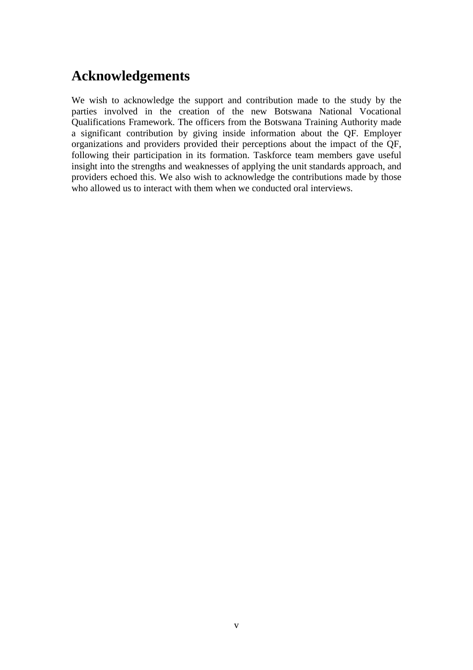### **Acknowledgements**

We wish to acknowledge the support and contribution made to the study by the parties involved in the creation of the new Botswana National Vocational Qualifications Framework. The officers from the Botswana Training Authority made a significant contribution by giving inside information about the QF. Employer organizations and providers provided their perceptions about the impact of the QF, following their participation in its formation. Taskforce team members gave useful insight into the strengths and weaknesses of applying the unit standards approach, and providers echoed this. We also wish to acknowledge the contributions made by those who allowed us to interact with them when we conducted oral interviews.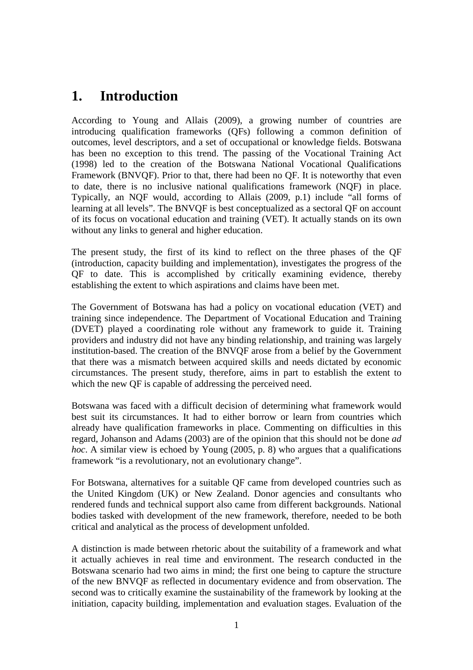### **1. Introduction**

According to Young and Allais (2009), a growing number of countries are introducing qualification frameworks (QFs) following a common definition of outcomes, level descriptors, and a set of occupational or knowledge fields. Botswana has been no exception to this trend. The passing of the Vocational Training Act (1998) led to the creation of the Botswana National Vocational Qualifications Framework (BNVQF). Prior to that, there had been no QF. It is noteworthy that even to date, there is no inclusive national qualifications framework (NQF) in place. Typically, an NQF would, according to Allais (2009, p.1) include "all forms of learning at all levels". The BNVQF is best conceptualized as a sectoral QF on account of its focus on vocational education and training (VET). It actually stands on its own without any links to general and higher education.

The present study, the first of its kind to reflect on the three phases of the QF (introduction, capacity building and implementation), investigates the progress of the QF to date. This is accomplished by critically examining evidence, thereby establishing the extent to which aspirations and claims have been met.

The Government of Botswana has had a policy on vocational education (VET) and training since independence. The Department of Vocational Education and Training (DVET) played a coordinating role without any framework to guide it. Training providers and industry did not have any binding relationship, and training was largely institution-based. The creation of the BNVQF arose from a belief by the Government that there was a mismatch between acquired skills and needs dictated by economic circumstances. The present study, therefore, aims in part to establish the extent to which the new QF is capable of addressing the perceived need.

Botswana was faced with a difficult decision of determining what framework would best suit its circumstances. It had to either borrow or learn from countries which already have qualification frameworks in place. Commenting on difficulties in this regard, Johanson and Adams (2003) are of the opinion that this should not be done *ad hoc*. A similar view is echoed by Young (2005, p. 8) who argues that a qualifications framework "is a revolutionary, not an evolutionary change".

For Botswana, alternatives for a suitable QF came from developed countries such as the United Kingdom (UK) or New Zealand. Donor agencies and consultants who rendered funds and technical support also came from different backgrounds. National bodies tasked with development of the new framework, therefore, needed to be both critical and analytical as the process of development unfolded.

A distinction is made between rhetoric about the suitability of a framework and what it actually achieves in real time and environment. The research conducted in the Botswana scenario had two aims in mind; the first one being to capture the structure of the new BNVQF as reflected in documentary evidence and from observation. The second was to critically examine the sustainability of the framework by looking at the initiation, capacity building, implementation and evaluation stages. Evaluation of the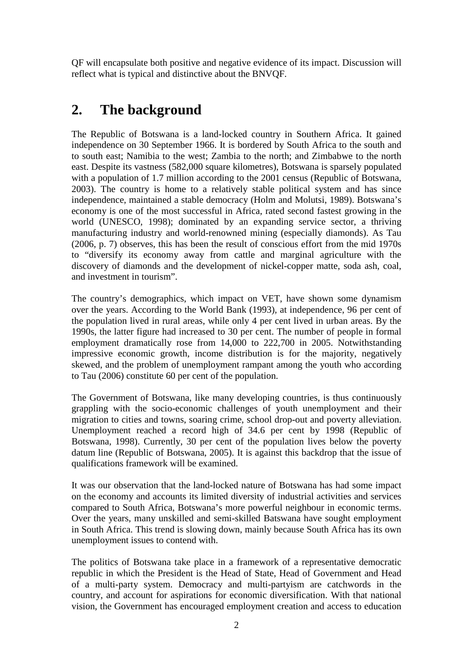QF will encapsulate both positive and negative evidence of its impact. Discussion will reflect what is typical and distinctive about the BNVQF.

### **2. The background**

The Republic of Botswana is a land-locked country in Southern Africa. It gained independence on 30 September 1966. It is bordered by South Africa to the south and to south east; Namibia to the west; Zambia to the north; and Zimbabwe to the north east. Despite its vastness (582,000 square kilometres), Botswana is sparsely populated with a population of 1.7 million according to the 2001 census (Republic of Botswana, 2003). The country is home to a relatively stable political system and has since independence, maintained a stable democracy (Holm and Molutsi, 1989). Botswana's economy is one of the most successful in Africa, rated second fastest growing in the world (UNESCO, 1998); dominated by an expanding service sector, a thriving manufacturing industry and world-renowned mining (especially diamonds). As Tau (2006, p. 7) observes, this has been the result of conscious effort from the mid 1970s to "diversify its economy away from cattle and marginal agriculture with the discovery of diamonds and the development of nickel-copper matte, soda ash, coal, and investment in tourism".

The country's demographics, which impact on VET, have shown some dynamism over the years. According to the World Bank (1993), at independence, 96 per cent of the population lived in rural areas, while only 4 per cent lived in urban areas. By the 1990s, the latter figure had increased to 30 per cent. The number of people in formal employment dramatically rose from 14,000 to 222,700 in 2005. Notwithstanding impressive economic growth, income distribution is for the majority, negatively skewed, and the problem of unemployment rampant among the youth who according to Tau (2006) constitute 60 per cent of the population.

The Government of Botswana, like many developing countries, is thus continuously grappling with the socio-economic challenges of youth unemployment and their migration to cities and towns, soaring crime, school drop-out and poverty alleviation. Unemployment reached a record high of 34.6 per cent by 1998 (Republic of Botswana, 1998). Currently, 30 per cent of the population lives below the poverty datum line (Republic of Botswana, 2005). It is against this backdrop that the issue of qualifications framework will be examined.

It was our observation that the land-locked nature of Botswana has had some impact on the economy and accounts its limited diversity of industrial activities and services compared to South Africa, Botswana's more powerful neighbour in economic terms. Over the years, many unskilled and semi-skilled Batswana have sought employment in South Africa. This trend is slowing down, mainly because South Africa has its own unemployment issues to contend with.

The politics of Botswana take place in a framework of a representative democratic republic in which the President is the Head of State, Head of Government and Head of a multi-party system. Democracy and multi-partyism are catchwords in the country, and account for aspirations for economic diversification. With that national vision, the Government has encouraged employment creation and access to education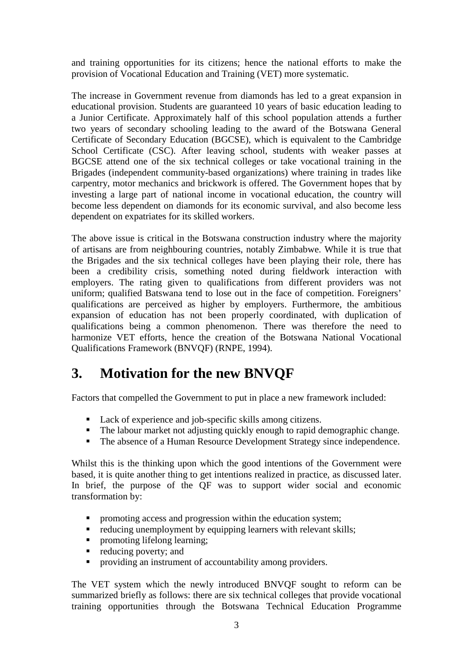and training opportunities for its citizens; hence the national efforts to make the provision of Vocational Education and Training (VET) more systematic.

The increase in Government revenue from diamonds has led to a great expansion in educational provision. Students are guaranteed 10 years of basic education leading to a Junior Certificate. Approximately half of this school population attends a further two years of secondary schooling leading to the award of the Botswana General Certificate of Secondary Education (BGCSE), which is equivalent to the Cambridge School Certificate (CSC). After leaving school, students with weaker passes at BGCSE attend one of the six technical colleges or take vocational training in the Brigades (independent community-based organizations) where training in trades like carpentry, motor mechanics and brickwork is offered. The Government hopes that by investing a large part of national income in vocational education, the country will become less dependent on diamonds for its economic survival, and also become less dependent on expatriates for its skilled workers.

The above issue is critical in the Botswana construction industry where the majority of artisans are from neighbouring countries, notably Zimbabwe. While it is true that the Brigades and the six technical colleges have been playing their role, there has been a credibility crisis, something noted during fieldwork interaction with employers. The rating given to qualifications from different providers was not uniform; qualified Batswana tend to lose out in the face of competition. Foreigners' qualifications are perceived as higher by employers. Furthermore, the ambitious expansion of education has not been properly coordinated, with duplication of qualifications being a common phenomenon. There was therefore the need to harmonize VET efforts, hence the creation of the Botswana National Vocational Qualifications Framework (BNVQF) (RNPE, 1994).

### **3. Motivation for the new BNVQF**

Factors that compelled the Government to put in place a new framework included:

- Lack of experience and job-specific skills among citizens.
- The labour market not adjusting quickly enough to rapid demographic change.
- The absence of a Human Resource Development Strategy since independence.

Whilst this is the thinking upon which the good intentions of the Government were based, it is quite another thing to get intentions realized in practice, as discussed later. In brief, the purpose of the QF was to support wider social and economic transformation by:

- promoting access and progression within the education system;
- reducing unemployment by equipping learners with relevant skills;<br>■ nromoting lifelong learning;
- promoting lifelong learning;
- reducing poverty; and
- **•** providing an instrument of accountability among providers.

The VET system which the newly introduced BNVQF sought to reform can be summarized briefly as follows: there are six technical colleges that provide vocational training opportunities through the Botswana Technical Education Programme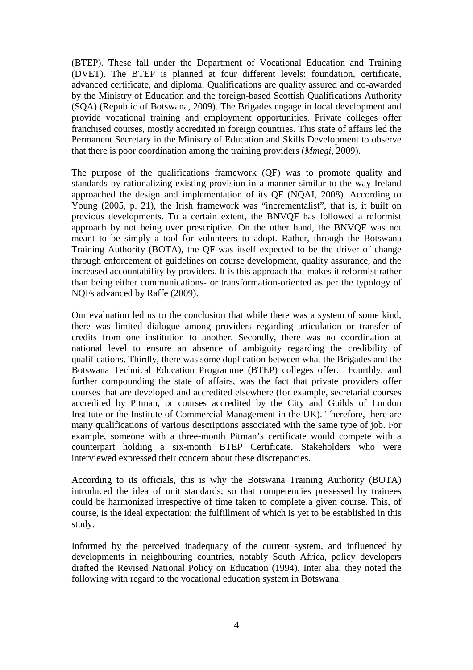(BTEP). These fall under the Department of Vocational Education and Training (DVET). The BTEP is planned at four different levels: foundation, certificate, advanced certificate, and diploma. Qualifications are quality assured and co-awarded by the Ministry of Education and the foreign-based Scottish Qualifications Authority (SQA) (Republic of Botswana, 2009). The Brigades engage in local development and provide vocational training and employment opportunities. Private colleges offer franchised courses, mostly accredited in foreign countries. This state of affairs led the Permanent Secretary in the Ministry of Education and Skills Development to observe that there is poor coordination among the training providers (*Mmegi,* 2009).

The purpose of the qualifications framework (QF) was to promote quality and standards by rationalizing existing provision in a manner similar to the way Ireland approached the design and implementation of its QF (NQAI, 2008). According to Young (2005, p. 21), the Irish framework was "incrementalist", that is, it built on previous developments. To a certain extent, the BNVQF has followed a reformist approach by not being over prescriptive. On the other hand, the BNVQF was not meant to be simply a tool for volunteers to adopt. Rather, through the Botswana Training Authority (BOTA), the QF was itself expected to be the driver of change through enforcement of guidelines on course development, quality assurance, and the increased accountability by providers. It is this approach that makes it reformist rather than being either communications- or transformation-oriented as per the typology of NQFs advanced by Raffe (2009).

Our evaluation led us to the conclusion that while there was a system of some kind, there was limited dialogue among providers regarding articulation or transfer of credits from one institution to another. Secondly, there was no coordination at national level to ensure an absence of ambiguity regarding the credibility of qualifications. Thirdly, there was some duplication between what the Brigades and the Botswana Technical Education Programme (BTEP) colleges offer. Fourthly, and further compounding the state of affairs, was the fact that private providers offer courses that are developed and accredited elsewhere (for example, secretarial courses accredited by Pitman, or courses accredited by the City and Guilds of London Institute or the Institute of Commercial Management in the UK). Therefore, there are many qualifications of various descriptions associated with the same type of job. For example, someone with a three-month Pitman's certificate would compete with a counterpart holding a six-month BTEP Certificate. Stakeholders who were interviewed expressed their concern about these discrepancies.

According to its officials, this is why the Botswana Training Authority (BOTA) introduced the idea of unit standards; so that competencies possessed by trainees could be harmonized irrespective of time taken to complete a given course. This, of course, is the ideal expectation; the fulfillment of which is yet to be established in this study.

Informed by the perceived inadequacy of the current system, and influenced by developments in neighbouring countries, notably South Africa, policy developers drafted the Revised National Policy on Education (1994). Inter alia, they noted the following with regard to the vocational education system in Botswana: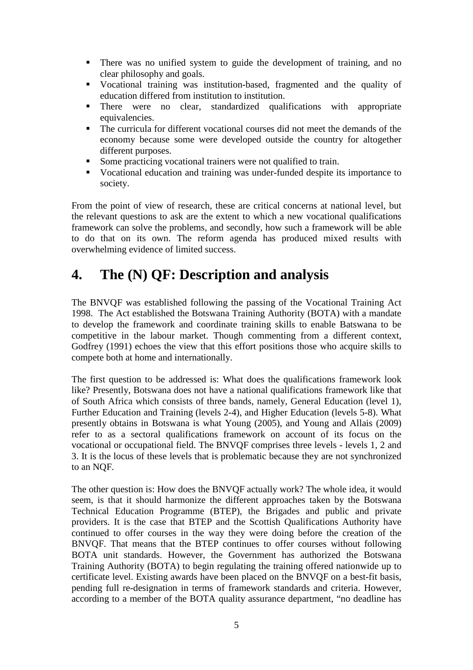- There was no unified system to guide the development of training, and no clear philosophy and goals.
- Vocational training was institution-based, fragmented and the quality of education differed from institution to institution.
- There were no clear, standardized qualifications with appropriate equivalencies.
- The curricula for different vocational courses did not meet the demands of the economy because some were developed outside the country for altogether different purposes.
- Some practicing vocational trainers were not qualified to train.
- Vocational education and training was under-funded despite its importance to society.

From the point of view of research, these are critical concerns at national level, but the relevant questions to ask are the extent to which a new vocational qualifications framework can solve the problems, and secondly, how such a framework will be able to do that on its own. The reform agenda has produced mixed results with overwhelming evidence of limited success.

### **4. The (N) QF: Description and analysis**

The BNVQF was established following the passing of the Vocational Training Act 1998. The Act established the Botswana Training Authority (BOTA) with a mandate to develop the framework and coordinate training skills to enable Batswana to be competitive in the labour market. Though commenting from a different context, Godfrey (1991) echoes the view that this effort positions those who acquire skills to compete both at home and internationally.

The first question to be addressed is: What does the qualifications framework look like? Presently, Botswana does not have a national qualifications framework like that of South Africa which consists of three bands, namely, General Education (level 1), Further Education and Training (levels 2-4), and Higher Education (levels 5-8). What presently obtains in Botswana is what Young (2005), and Young and Allais (2009) refer to as a sectoral qualifications framework on account of its focus on the vocational or occupational field. The BNVQF comprises three levels - levels 1, 2 and 3. It is the locus of these levels that is problematic because they are not synchronized to an NQF.

The other question is: How does the BNVQF actually work? The whole idea, it would seem, is that it should harmonize the different approaches taken by the Botswana Technical Education Programme (BTEP), the Brigades and public and private providers. It is the case that BTEP and the Scottish Qualifications Authority have continued to offer courses in the way they were doing before the creation of the BNVQF. That means that the BTEP continues to offer courses without following BOTA unit standards. However, the Government has authorized the Botswana Training Authority (BOTA) to begin regulating the training offered nationwide up to certificate level. Existing awards have been placed on the BNVQF on a best-fit basis, pending full re-designation in terms of framework standards and criteria. However, according to a member of the BOTA quality assurance department, "no deadline has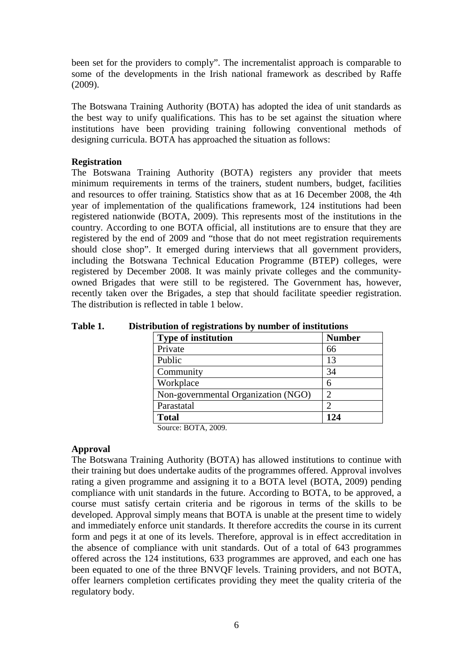been set for the providers to comply". The incrementalist approach is comparable to some of the developments in the Irish national framework as described by Raffe (2009).

The Botswana Training Authority (BOTA) has adopted the idea of unit standards as the best way to unify qualifications. This has to be set against the situation where institutions have been providing training following conventional methods of designing curricula. BOTA has approached the situation as follows:

#### **Registration**

The Botswana Training Authority (BOTA) registers any provider that meets minimum requirements in terms of the trainers, student numbers, budget, facilities and resources to offer training. Statistics show that as at 16 December 2008, the 4th year of implementation of the qualifications framework, 124 institutions had been registered nationwide (BOTA, 2009). This represents most of the institutions in the country. According to one BOTA official, all institutions are to ensure that they are registered by the end of 2009 and "those that do not meet registration requirements should close shop". It emerged during interviews that all government providers, including the Botswana Technical Education Programme (BTEP) colleges, were registered by December 2008. It was mainly private colleges and the communityowned Brigades that were still to be registered. The Government has, however, recently taken over the Brigades, a step that should facilitate speedier registration. The distribution is reflected in table 1 below.

| рийон от гедмааноня ру нишрег от нізигийоня |               |  |
|---------------------------------------------|---------------|--|
| <b>Type of institution</b>                  | <b>Number</b> |  |
| Private                                     | 66            |  |
| Public                                      | 13            |  |
| Community                                   | 34            |  |
| Workplace                                   | 6             |  |
| Non-governmental Organization (NGO)         |               |  |
| Parastatal                                  |               |  |
| <b>Total</b>                                | 124           |  |

**Table 1. Distribution of registrations by number of institutions** 

Source: BOTA, 2009.

#### **Approval**

The Botswana Training Authority (BOTA) has allowed institutions to continue with their training but does undertake audits of the programmes offered. Approval involves rating a given programme and assigning it to a BOTA level (BOTA, 2009) pending compliance with unit standards in the future. According to BOTA, to be approved, a course must satisfy certain criteria and be rigorous in terms of the skills to be developed. Approval simply means that BOTA is unable at the present time to widely and immediately enforce unit standards. It therefore accredits the course in its current form and pegs it at one of its levels. Therefore, approval is in effect accreditation in the absence of compliance with unit standards. Out of a total of 643 programmes offered across the 124 institutions, 633 programmes are approved, and each one has been equated to one of the three BNVQF levels. Training providers, and not BOTA, offer learners completion certificates providing they meet the quality criteria of the regulatory body.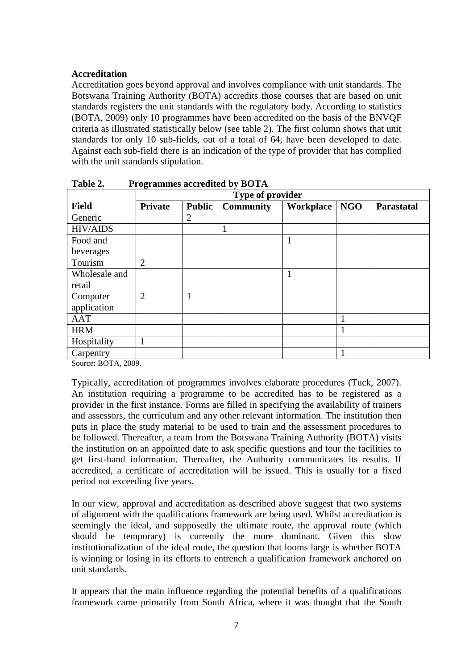#### **Accreditation**

Accreditation goes beyond approval and involves compliance with unit standards. The Botswana Training Authority (BOTA) accredits those courses that are based on unit standards registers the unit standards with the regulatory body. According to statistics (BOTA, 2009) only 10 programmes have been accredited on the basis of the BNVQF criteria as illustrated statistically below (see table 2). The first column shows that unit standards for only 10 sub-fields, out of a total of 64, have been developed to date. Against each sub-field there is an indication of the type of provider that has complied with the unit standards stipulation.

|                                         | Type of provider |                |                  |           |            |            |
|-----------------------------------------|------------------|----------------|------------------|-----------|------------|------------|
| <b>Field</b>                            | <b>Private</b>   | <b>Public</b>  | <b>Community</b> | Workplace | <b>NGO</b> | Parastatal |
| Generic                                 |                  | $\overline{2}$ |                  |           |            |            |
| <b>HIV/AIDS</b>                         |                  |                | $\mathbf{1}$     |           |            |            |
| Food and                                |                  |                |                  |           |            |            |
| beverages                               |                  |                |                  |           |            |            |
| Tourism                                 | $\overline{2}$   |                |                  |           |            |            |
| Wholesale and                           |                  |                |                  |           |            |            |
| retail                                  |                  |                |                  |           |            |            |
| Computer                                | $\overline{2}$   |                |                  |           |            |            |
| application                             |                  |                |                  |           |            |            |
| <b>AAT</b>                              |                  |                |                  |           |            |            |
| <b>HRM</b>                              |                  |                |                  |           |            |            |
| Hospitality                             |                  |                |                  |           |            |            |
| Carpentry<br><b>DOM: 3000</b><br>$\sim$ |                  |                |                  |           |            |            |

**Table 2. Programmes accredited by BOTA** 

Source: BOTA, 2009.

Typically, accreditation of programmes involves elaborate procedures (Tuck, 2007). An institution requiring a programme to be accredited has to be registered as a provider in the first instance. Forms are filled in specifying the availability of trainers and assessors, the curriculum and any other relevant information. The institution then puts in place the study material to be used to train and the assessment procedures to be followed. Thereafter, a team from the Botswana Training Authority (BOTA) visits the institution on an appointed date to ask specific questions and tour the facilities to get first-hand information. Thereafter, the Authority communicates its results. If accredited, a certificate of accreditation will be issued. This is usually for a fixed period not exceeding five years.

In our view, approval and accreditation as described above suggest that two systems of alignment with the qualifications framework are being used. Whilst accreditation is seemingly the ideal, and supposedly the ultimate route, the approval route (which should be temporary) is currently the more dominant. Given this slow institutionalization of the ideal route, the question that looms large is whether BOTA is winning or losing in its efforts to entrench a qualification framework anchored on unit standards.

It appears that the main influence regarding the potential benefits of a qualifications framework came primarily from South Africa, where it was thought that the South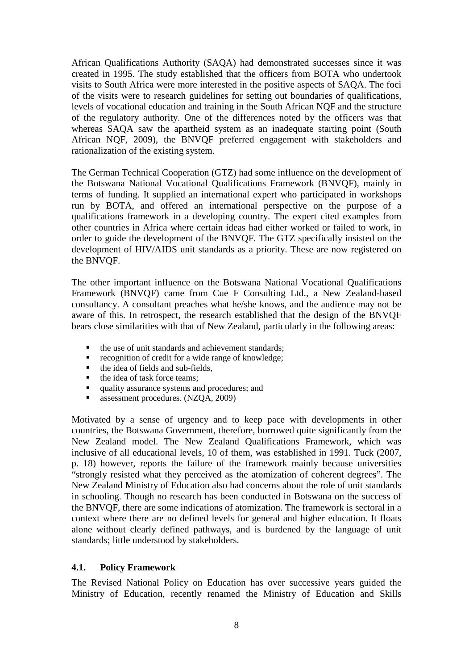African Qualifications Authority (SAQA) had demonstrated successes since it was created in 1995. The study established that the officers from BOTA who undertook visits to South Africa were more interested in the positive aspects of SAQA. The foci of the visits were to research guidelines for setting out boundaries of qualifications, levels of vocational education and training in the South African NQF and the structure of the regulatory authority. One of the differences noted by the officers was that whereas SAQA saw the apartheid system as an inadequate starting point (South African NQF, 2009), the BNVQF preferred engagement with stakeholders and rationalization of the existing system.

The German Technical Cooperation (GTZ) had some influence on the development of the Botswana National Vocational Qualifications Framework (BNVQF), mainly in terms of funding. It supplied an international expert who participated in workshops run by BOTA, and offered an international perspective on the purpose of a qualifications framework in a developing country. The expert cited examples from other countries in Africa where certain ideas had either worked or failed to work, in order to guide the development of the BNVQF. The GTZ specifically insisted on the development of HIV/AIDS unit standards as a priority. These are now registered on the BNVQF.

The other important influence on the Botswana National Vocational Qualifications Framework (BNVQF) came from Cue F Consulting Ltd., a New Zealand-based consultancy. A consultant preaches what he/she knows, and the audience may not be aware of this. In retrospect, the research established that the design of the BNVQF bears close similarities with that of New Zealand, particularly in the following areas:

- the use of unit standards and achievement standards;
- recognition of credit for a wide range of knowledge;<br>■ the idea of fields and sub-fields,
- the idea of fields and sub-fields,
- $\blacksquare$  the idea of task force teams:
- quality assurance systems and procedures; and
- assessment procedures. (NZQA, 2009)

Motivated by a sense of urgency and to keep pace with developments in other countries, the Botswana Government, therefore, borrowed quite significantly from the New Zealand model. The New Zealand Qualifications Framework, which was inclusive of all educational levels, 10 of them, was established in 1991. Tuck (2007, p. 18) however, reports the failure of the framework mainly because universities "strongly resisted what they perceived as the atomization of coherent degrees". The New Zealand Ministry of Education also had concerns about the role of unit standards in schooling. Though no research has been conducted in Botswana on the success of the BNVQF, there are some indications of atomization. The framework is sectoral in a context where there are no defined levels for general and higher education. It floats alone without clearly defined pathways, and is burdened by the language of unit standards; little understood by stakeholders.

#### **4.1. Policy Framework**

The Revised National Policy on Education has over successive years guided the Ministry of Education, recently renamed the Ministry of Education and Skills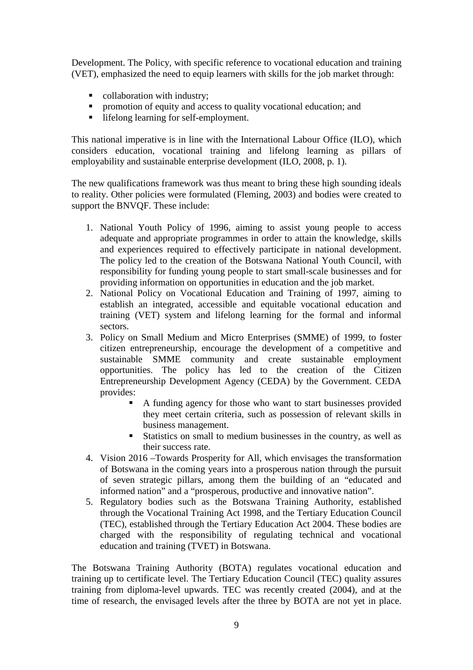Development. The Policy, with specific reference to vocational education and training (VET), emphasized the need to equip learners with skills for the job market through:

- collaboration with industry;
- **Peromotion of equity and access to quality vocational education; and**
- lifelong learning for self-employment.

This national imperative is in line with the International Labour Office (ILO), which considers education, vocational training and lifelong learning as pillars of employability and sustainable enterprise development (ILO, 2008, p. 1).

The new qualifications framework was thus meant to bring these high sounding ideals to reality. Other policies were formulated (Fleming, 2003) and bodies were created to support the BNVQF. These include:

- 1. National Youth Policy of 1996, aiming to assist young people to access adequate and appropriate programmes in order to attain the knowledge, skills and experiences required to effectively participate in national development. The policy led to the creation of the Botswana National Youth Council, with responsibility for funding young people to start small-scale businesses and for providing information on opportunities in education and the job market.
- 2. National Policy on Vocational Education and Training of 1997, aiming to establish an integrated, accessible and equitable vocational education and training (VET) system and lifelong learning for the formal and informal sectors.
- 3. Policy on Small Medium and Micro Enterprises (SMME) of 1999, to foster citizen entrepreneurship, encourage the development of a competitive and sustainable SMME community and create sustainable employment opportunities. The policy has led to the creation of the Citizen Entrepreneurship Development Agency (CEDA) by the Government. CEDA provides:
	- A funding agency for those who want to start businesses provided they meet certain criteria, such as possession of relevant skills in business management.
	- Statistics on small to medium businesses in the country, as well as their success rate.
- 4. Vision 2016 –Towards Prosperity for All, which envisages the transformation of Botswana in the coming years into a prosperous nation through the pursuit of seven strategic pillars, among them the building of an "educated and informed nation" and a "prosperous, productive and innovative nation".
- 5. Regulatory bodies such as the Botswana Training Authority, established through the Vocational Training Act 1998, and the Tertiary Education Council (TEC), established through the Tertiary Education Act 2004. These bodies are charged with the responsibility of regulating technical and vocational education and training (TVET) in Botswana.

The Botswana Training Authority (BOTA) regulates vocational education and training up to certificate level. The Tertiary Education Council (TEC) quality assures training from diploma-level upwards. TEC was recently created (2004), and at the time of research, the envisaged levels after the three by BOTA are not yet in place.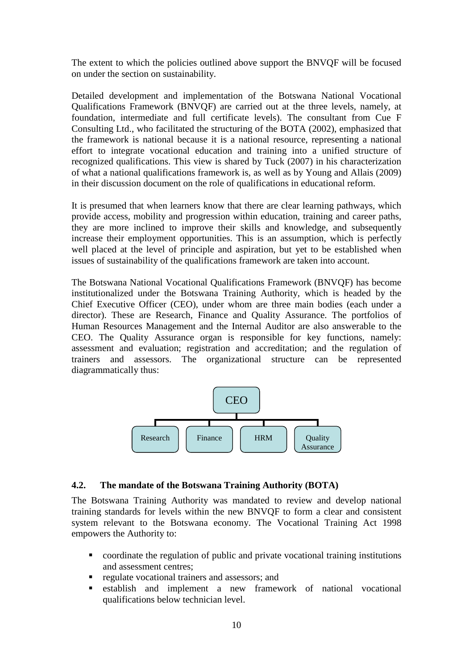The extent to which the policies outlined above support the BNVQF will be focused on under the section on sustainability.

Detailed development and implementation of the Botswana National Vocational Qualifications Framework (BNVQF) are carried out at the three levels, namely, at foundation, intermediate and full certificate levels). The consultant from Cue F Consulting Ltd., who facilitated the structuring of the BOTA (2002), emphasized that the framework is national because it is a national resource, representing a national effort to integrate vocational education and training into a unified structure of recognized qualifications. This view is shared by Tuck (2007) in his characterization of what a national qualifications framework is, as well as by Young and Allais (2009) in their discussion document on the role of qualifications in educational reform.

It is presumed that when learners know that there are clear learning pathways, which provide access, mobility and progression within education, training and career paths, they are more inclined to improve their skills and knowledge, and subsequently increase their employment opportunities. This is an assumption, which is perfectly well placed at the level of principle and aspiration, but yet to be established when issues of sustainability of the qualifications framework are taken into account.

The Botswana National Vocational Qualifications Framework (BNVQF) has become institutionalized under the Botswana Training Authority, which is headed by the Chief Executive Officer (CEO), under whom are three main bodies (each under a director). These are Research, Finance and Quality Assurance. The portfolios of Human Resources Management and the Internal Auditor are also answerable to the CEO. The Quality Assurance organ is responsible for key functions, namely: assessment and evaluation; registration and accreditation; and the regulation of trainers and assessors. The organizational structure can be represented diagrammatically thus:



#### **4.2. The mandate of the Botswana Training Authority (BOTA)**

The Botswana Training Authority was mandated to review and develop national training standards for levels within the new BNVQF to form a clear and consistent system relevant to the Botswana economy. The Vocational Training Act 1998 empowers the Authority to:

- coordinate the regulation of public and private vocational training institutions and assessment centres;
- regulate vocational trainers and assessors; and
- establish and implement a new framework of national vocational qualifications below technician level.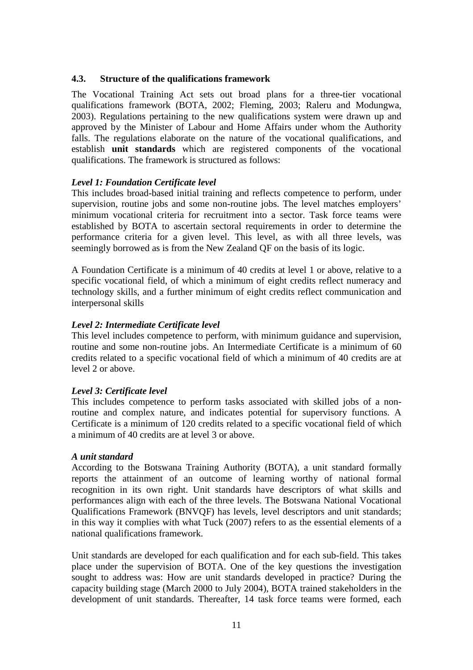#### **4.3. Structure of the qualifications framework**

The Vocational Training Act sets out broad plans for a three-tier vocational qualifications framework (BOTA, 2002; Fleming, 2003; Raleru and Modungwa, 2003). Regulations pertaining to the new qualifications system were drawn up and approved by the Minister of Labour and Home Affairs under whom the Authority falls. The regulations elaborate on the nature of the vocational qualifications, and establish **unit standards** which are registered components of the vocational qualifications. The framework is structured as follows:

#### *Level 1: Foundation Certificate level*

This includes broad-based initial training and reflects competence to perform, under supervision, routine jobs and some non-routine jobs. The level matches employers' minimum vocational criteria for recruitment into a sector. Task force teams were established by BOTA to ascertain sectoral requirements in order to determine the performance criteria for a given level. This level, as with all three levels, was seemingly borrowed as is from the New Zealand QF on the basis of its logic.

A Foundation Certificate is a minimum of 40 credits at level 1 or above, relative to a specific vocational field, of which a minimum of eight credits reflect numeracy and technology skills, and a further minimum of eight credits reflect communication and interpersonal skills

#### *Level 2: Intermediate Certificate level*

This level includes competence to perform, with minimum guidance and supervision, routine and some non-routine jobs. An Intermediate Certificate is a minimum of 60 credits related to a specific vocational field of which a minimum of 40 credits are at level 2 or above.

#### *Level 3: Certificate level*

This includes competence to perform tasks associated with skilled jobs of a nonroutine and complex nature, and indicates potential for supervisory functions. A Certificate is a minimum of 120 credits related to a specific vocational field of which a minimum of 40 credits are at level 3 or above.

#### *A unit standard*

According to the Botswana Training Authority (BOTA), a unit standard formally reports the attainment of an outcome of learning worthy of national formal recognition in its own right. Unit standards have descriptors of what skills and performances align with each of the three levels. The Botswana National Vocational Qualifications Framework (BNVQF) has levels, level descriptors and unit standards; in this way it complies with what Tuck (2007) refers to as the essential elements of a national qualifications framework.

Unit standards are developed for each qualification and for each sub-field. This takes place under the supervision of BOTA. One of the key questions the investigation sought to address was: How are unit standards developed in practice? During the capacity building stage (March 2000 to July 2004), BOTA trained stakeholders in the development of unit standards. Thereafter, 14 task force teams were formed, each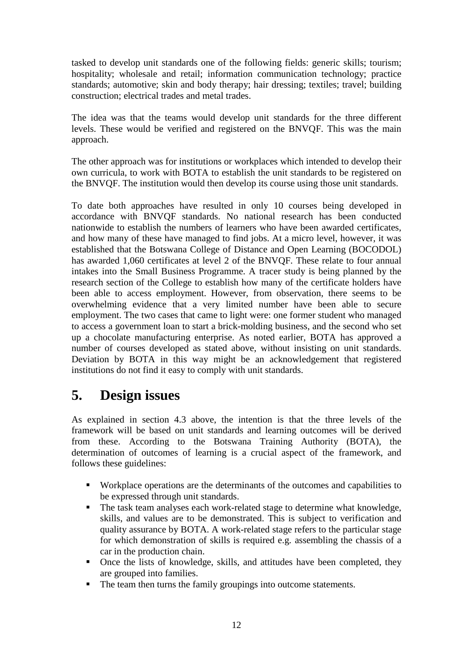tasked to develop unit standards one of the following fields: generic skills; tourism; hospitality; wholesale and retail; information communication technology; practice standards; automotive; skin and body therapy; hair dressing; textiles; travel; building construction; electrical trades and metal trades.

The idea was that the teams would develop unit standards for the three different levels. These would be verified and registered on the BNVQF. This was the main approach.

The other approach was for institutions or workplaces which intended to develop their own curricula, to work with BOTA to establish the unit standards to be registered on the BNVQF. The institution would then develop its course using those unit standards.

To date both approaches have resulted in only 10 courses being developed in accordance with BNVQF standards. No national research has been conducted nationwide to establish the numbers of learners who have been awarded certificates, and how many of these have managed to find jobs. At a micro level, however, it was established that the Botswana College of Distance and Open Learning (BOCODOL) has awarded 1,060 certificates at level 2 of the BNVQF. These relate to four annual intakes into the Small Business Programme. A tracer study is being planned by the research section of the College to establish how many of the certificate holders have been able to access employment. However, from observation, there seems to be overwhelming evidence that a very limited number have been able to secure employment. The two cases that came to light were: one former student who managed to access a government loan to start a brick-molding business, and the second who set up a chocolate manufacturing enterprise. As noted earlier, BOTA has approved a number of courses developed as stated above, without insisting on unit standards. Deviation by BOTA in this way might be an acknowledgement that registered institutions do not find it easy to comply with unit standards.

### **5. Design issues**

As explained in section 4.3 above, the intention is that the three levels of the framework will be based on unit standards and learning outcomes will be derived from these. According to the Botswana Training Authority (BOTA), the determination of outcomes of learning is a crucial aspect of the framework, and follows these guidelines:

- Workplace operations are the determinants of the outcomes and capabilities to be expressed through unit standards.
- The task team analyses each work-related stage to determine what knowledge, skills, and values are to be demonstrated. This is subject to verification and quality assurance by BOTA. A work-related stage refers to the particular stage for which demonstration of skills is required e.g. assembling the chassis of a car in the production chain.
- Once the lists of knowledge, skills, and attitudes have been completed, they are grouped into families.
- The team then turns the family groupings into outcome statements.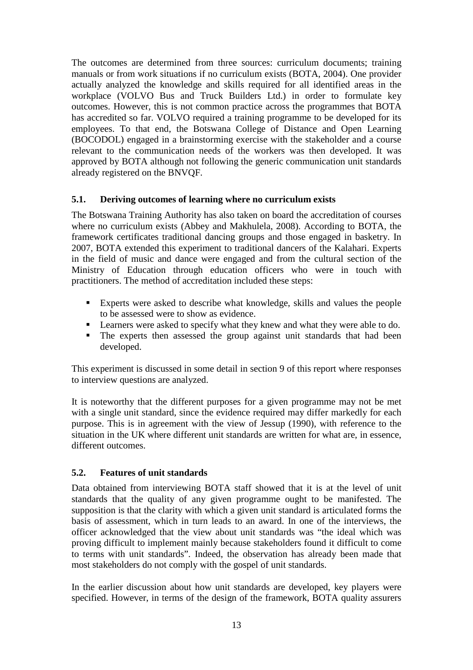The outcomes are determined from three sources: curriculum documents; training manuals or from work situations if no curriculum exists (BOTA, 2004). One provider actually analyzed the knowledge and skills required for all identified areas in the workplace (VOLVO Bus and Truck Builders Ltd.) in order to formulate key outcomes. However, this is not common practice across the programmes that BOTA has accredited so far. VOLVO required a training programme to be developed for its employees. To that end, the Botswana College of Distance and Open Learning (BOCODOL) engaged in a brainstorming exercise with the stakeholder and a course relevant to the communication needs of the workers was then developed. It was approved by BOTA although not following the generic communication unit standards already registered on the BNVQF.

#### **5.1. Deriving outcomes of learning where no curriculum exists**

The Botswana Training Authority has also taken on board the accreditation of courses where no curriculum exists (Abbey and Makhulela, 2008). According to BOTA, the framework certificates traditional dancing groups and those engaged in basketry. In 2007, BOTA extended this experiment to traditional dancers of the Kalahari. Experts in the field of music and dance were engaged and from the cultural section of the Ministry of Education through education officers who were in touch with practitioners. The method of accreditation included these steps:

- Experts were asked to describe what knowledge, skills and values the people to be assessed were to show as evidence.
- **Learners were asked to specify what they knew and what they were able to do.**
- The experts then assessed the group against unit standards that had been developed.

This experiment is discussed in some detail in section 9 of this report where responses to interview questions are analyzed.

It is noteworthy that the different purposes for a given programme may not be met with a single unit standard, since the evidence required may differ markedly for each purpose. This is in agreement with the view of Jessup (1990), with reference to the situation in the UK where different unit standards are written for what are, in essence, different outcomes.

#### **5.2. Features of unit standards**

Data obtained from interviewing BOTA staff showed that it is at the level of unit standards that the quality of any given programme ought to be manifested. The supposition is that the clarity with which a given unit standard is articulated forms the basis of assessment, which in turn leads to an award. In one of the interviews, the officer acknowledged that the view about unit standards was "the ideal which was proving difficult to implement mainly because stakeholders found it difficult to come to terms with unit standards". Indeed, the observation has already been made that most stakeholders do not comply with the gospel of unit standards.

In the earlier discussion about how unit standards are developed, key players were specified. However, in terms of the design of the framework, BOTA quality assurers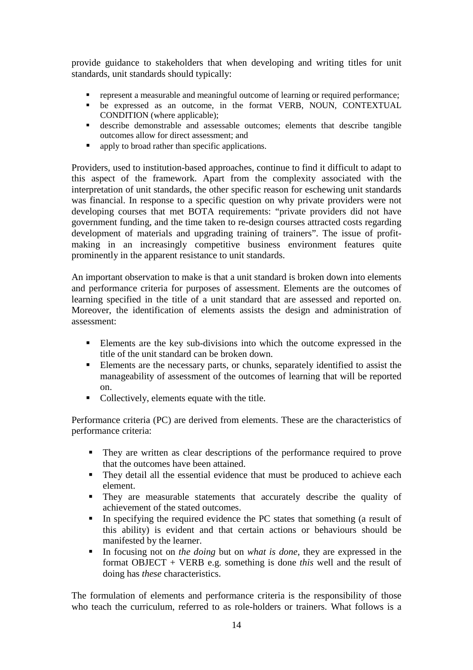provide guidance to stakeholders that when developing and writing titles for unit standards, unit standards should typically:

- represent a measurable and meaningful outcome of learning or required performance;
- be expressed as an outcome, in the format VERB, NOUN, CONTEXTUAL CONDITION (where applicable);
- describe demonstrable and assessable outcomes; elements that describe tangible outcomes allow for direct assessment; and
- **•** apply to broad rather than specific applications.

Providers, used to institution-based approaches, continue to find it difficult to adapt to this aspect of the framework. Apart from the complexity associated with the interpretation of unit standards, the other specific reason for eschewing unit standards was financial. In response to a specific question on why private providers were not developing courses that met BOTA requirements: "private providers did not have government funding, and the time taken to re-design courses attracted costs regarding development of materials and upgrading training of trainers". The issue of profitmaking in an increasingly competitive business environment features quite prominently in the apparent resistance to unit standards.

An important observation to make is that a unit standard is broken down into elements and performance criteria for purposes of assessment. Elements are the outcomes of learning specified in the title of a unit standard that are assessed and reported on. Moreover, the identification of elements assists the design and administration of assessment:

- Elements are the key sub-divisions into which the outcome expressed in the title of the unit standard can be broken down.
- Elements are the necessary parts, or chunks, separately identified to assist the manageability of assessment of the outcomes of learning that will be reported on.
- Collectively, elements equate with the title.

Performance criteria (PC) are derived from elements. These are the characteristics of performance criteria:

- They are written as clear descriptions of the performance required to prove that the outcomes have been attained.
- They detail all the essential evidence that must be produced to achieve each element.
- They are measurable statements that accurately describe the quality of achievement of the stated outcomes.
- In specifying the required evidence the PC states that something (a result of this ability) is evident and that certain actions or behaviours should be manifested by the learner.
- In focusing not on *the doing* but on *what is done*, they are expressed in the format OBJECT + VERB e.g. something is done *this* well and the result of doing has *these* characteristics.

The formulation of elements and performance criteria is the responsibility of those who teach the curriculum, referred to as role-holders or trainers. What follows is a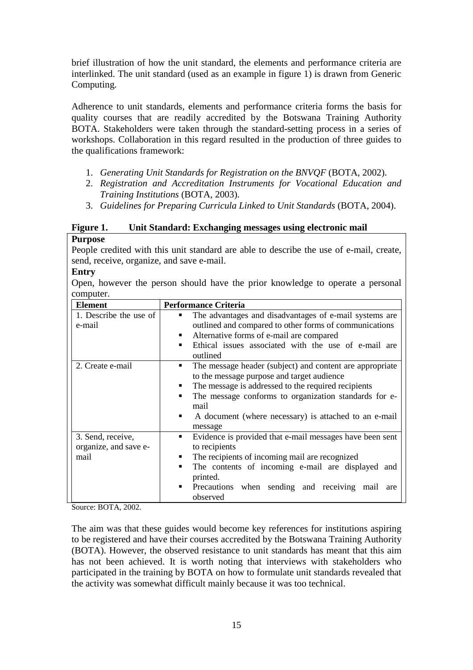brief illustration of how the unit standard, the elements and performance criteria are interlinked. The unit standard (used as an example in figure 1) is drawn from Generic Computing.

Adherence to unit standards, elements and performance criteria forms the basis for quality courses that are readily accredited by the Botswana Training Authority BOTA. Stakeholders were taken through the standard-setting process in a series of workshops. Collaboration in this regard resulted in the production of three guides to the qualifications framework:

- 1. *Generating Unit Standards for Registration on the BNVQF* (BOTA, 2002).
- 2. *Registration and Accreditation Instruments for Vocational Education and Training Institutions* (BOTA, 2003).
- 3. *Guidelines for Preparing Curricula Linked to Unit Standards* (BOTA, 2004).

### **Figure 1. Unit Standard: Exchanging messages using electronic mail**

#### **Purpose**

People credited with this unit standard are able to describe the use of e-mail, create, send, receive, organize, and save e-mail.

#### **Entry**

Open, however the person should have the prior knowledge to operate a personal computer.

| <b>Element</b>                                     | <b>Performance Criteria</b>                                                                                                                                                                                                                                                                                              |
|----------------------------------------------------|--------------------------------------------------------------------------------------------------------------------------------------------------------------------------------------------------------------------------------------------------------------------------------------------------------------------------|
| 1. Describe the use of<br>e-mail                   | The advantages and disadvantages of e-mail systems are<br>outlined and compared to other forms of communications<br>Alternative forms of e-mail are compared<br>Ethical issues associated with the use of e-mail are                                                                                                     |
| 2. Create e-mail                                   | outlined<br>The message header (subject) and content are appropriate<br>٠<br>to the message purpose and target audience<br>The message is addressed to the required recipients<br>The message conforms to organization standards for e-<br>mail<br>A document (where necessary) is attached to an e-mail<br>п<br>message |
| 3. Send, receive,<br>organize, and save e-<br>mail | Evidence is provided that e-mail messages have been sent<br>٠<br>to recipients<br>The recipients of incoming mail are recognized<br>The contents of incoming e-mail are displayed and<br>printed.<br>Precautions when sending and receiving mail are<br>observed                                                         |

Source: BOTA, 2002.

The aim was that these guides would become key references for institutions aspiring to be registered and have their courses accredited by the Botswana Training Authority (BOTA). However, the observed resistance to unit standards has meant that this aim has not been achieved. It is worth noting that interviews with stakeholders who participated in the training by BOTA on how to formulate unit standards revealed that the activity was somewhat difficult mainly because it was too technical.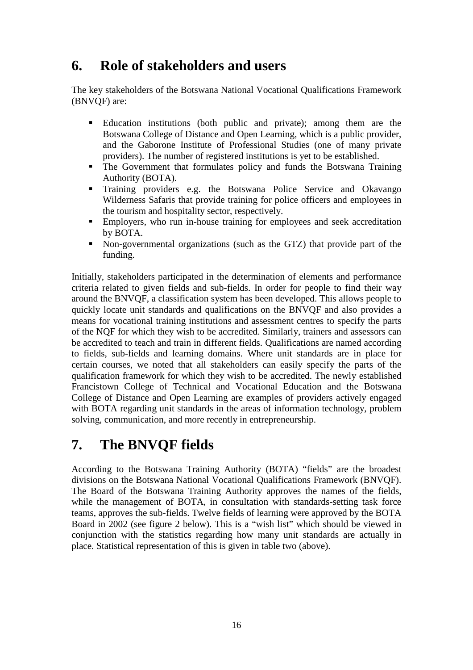### **6. Role of stakeholders and users**

The key stakeholders of the Botswana National Vocational Qualifications Framework (BNVQF) are:

- Education institutions (both public and private); among them are the Botswana College of Distance and Open Learning, which is a public provider, and the Gaborone Institute of Professional Studies (one of many private providers). The number of registered institutions is yet to be established.
- The Government that formulates policy and funds the Botswana Training Authority (BOTA).
- Training providers e.g. the Botswana Police Service and Okavango Wilderness Safaris that provide training for police officers and employees in the tourism and hospitality sector, respectively.
- Employers, who run in-house training for employees and seek accreditation by BOTA.
- Non-governmental organizations (such as the GTZ) that provide part of the funding.

Initially, stakeholders participated in the determination of elements and performance criteria related to given fields and sub-fields. In order for people to find their way around the BNVQF, a classification system has been developed. This allows people to quickly locate unit standards and qualifications on the BNVQF and also provides a means for vocational training institutions and assessment centres to specify the parts of the NQF for which they wish to be accredited. Similarly, trainers and assessors can be accredited to teach and train in different fields. Qualifications are named according to fields, sub-fields and learning domains. Where unit standards are in place for certain courses, we noted that all stakeholders can easily specify the parts of the qualification framework for which they wish to be accredited. The newly established Francistown College of Technical and Vocational Education and the Botswana College of Distance and Open Learning are examples of providers actively engaged with BOTA regarding unit standards in the areas of information technology, problem solving, communication, and more recently in entrepreneurship.

## **7. The BNVQF fields**

According to the Botswana Training Authority (BOTA) "fields" are the broadest divisions on the Botswana National Vocational Qualifications Framework (BNVQF). The Board of the Botswana Training Authority approves the names of the fields, while the management of BOTA, in consultation with standards-setting task force teams, approves the sub-fields. Twelve fields of learning were approved by the BOTA Board in 2002 (see figure 2 below). This is a "wish list" which should be viewed in conjunction with the statistics regarding how many unit standards are actually in place. Statistical representation of this is given in table two (above).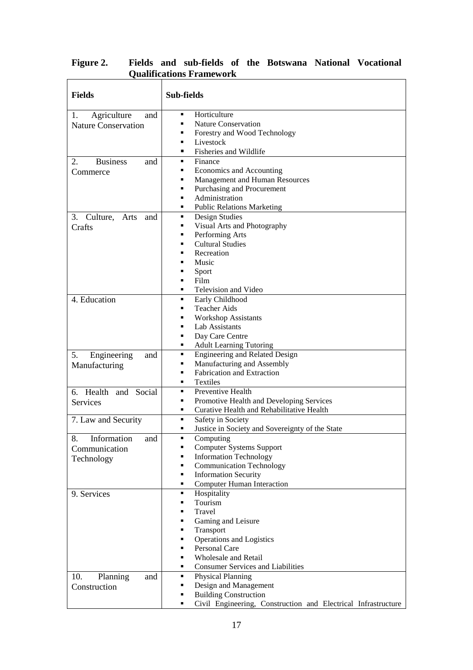| <b>Fields</b>                 | Sub-fields                                                         |
|-------------------------------|--------------------------------------------------------------------|
| Agriculture<br>1.<br>and      | Horticulture<br>٠                                                  |
| <b>Nature Conservation</b>    | <b>Nature Conservation</b><br>٠                                    |
|                               | Forestry and Wood Technology<br>п                                  |
|                               | Livestock<br>п                                                     |
|                               | Fisheries and Wildlife<br>٠                                        |
| 2.<br><b>Business</b><br>and  | Finance<br>٠                                                       |
| Commerce                      | Economics and Accounting<br>٠                                      |
|                               | Management and Human Resources<br>٠                                |
|                               | Purchasing and Procurement<br>٠                                    |
|                               | Administration<br>٠                                                |
|                               | <b>Public Relations Marketing</b><br>٠                             |
| Culture,<br>3.<br>Arts<br>and | Design Studies<br>٠                                                |
| Crafts                        | Visual Arts and Photography<br>٠                                   |
|                               | Performing Arts<br>٠                                               |
|                               | <b>Cultural Studies</b><br>٠                                       |
|                               | Recreation<br>▪<br>Music                                           |
|                               | п                                                                  |
|                               | Sport<br>Film<br>٠                                                 |
|                               | Television and Video<br>٠                                          |
| 4. Education                  | Early Childhood<br>٠                                               |
|                               | <b>Teacher Aids</b><br>٠                                           |
|                               | <b>Workshop Assistants</b><br>٠                                    |
|                               | Lab Assistants<br>٠                                                |
|                               | Day Care Centre<br>п                                               |
|                               | <b>Adult Learning Tutoring</b><br>٠                                |
| 5.<br>Engineering<br>and      | <b>Engineering and Related Design</b><br>٠                         |
| Manufacturing                 | Manufacturing and Assembly<br>٠                                    |
|                               | <b>Fabrication and Extraction</b><br>٠                             |
|                               | <b>Textiles</b><br>٠                                               |
| 6. Health and Social          | Preventive Health<br>٠                                             |
| Services                      | Promotive Health and Developing Services<br>п                      |
|                               | Curative Health and Rehabilitative Health<br>٠                     |
| 7. Law and Security           | Safety in Society<br>٠                                             |
|                               | Justice in Society and Sovereignty of the State<br>٠               |
| 8.<br>Information<br>and      | Computing                                                          |
| Communication                 | <b>Computer Systems Support</b><br>٠                               |
| Technology                    | <b>Information Technology</b><br>٠                                 |
|                               | <b>Communication Technology</b><br>٠                               |
|                               | <b>Information Security</b><br>٠                                   |
|                               | <b>Computer Human Interaction</b><br>٠                             |
| 9. Services                   | Hospitality<br>٠                                                   |
|                               | Tourism<br>٠                                                       |
|                               | Travel<br>٠                                                        |
|                               | Gaming and Leisure<br>٠                                            |
|                               | Transport<br>٠                                                     |
|                               | <b>Operations and Logistics</b><br>٠<br>Personal Care<br>٠         |
|                               | <b>Wholesale and Retail</b><br>٠                                   |
|                               | <b>Consumer Services and Liabilities</b><br>٠                      |
| 10.                           | <b>Physical Planning</b><br>٠                                      |
| Planning<br>and               | Design and Management<br>٠                                         |
| Construction                  | <b>Building Construction</b><br>٠                                  |
|                               | Civil Engineering, Construction and Electrical Infrastructure<br>п |

#### **Figure 2. Fields and sub-fields of the Botswana National Vocational Qualifications Framework**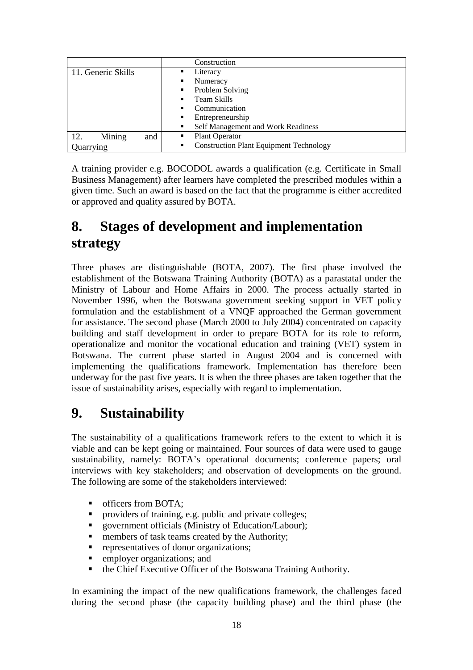|                      | Construction                                                     |
|----------------------|------------------------------------------------------------------|
| 11. Generic Skills   | Literacy<br>٠                                                    |
|                      | Numeracy<br>٠                                                    |
|                      | Problem Solving<br>$\blacksquare$                                |
|                      | Team Skills<br>$\blacksquare$                                    |
|                      | Communication<br>٠                                               |
|                      | Entrepreneurship<br>$\blacksquare$                               |
|                      | Self Management and Work Readiness<br>٠                          |
| Mining<br>12.<br>and | <b>Plant Operator</b><br>п                                       |
| Quarrying            | <b>Construction Plant Equipment Technology</b><br>$\blacksquare$ |

A training provider e.g. BOCODOL awards a qualification (e.g. Certificate in Small Business Management) after learners have completed the prescribed modules within a given time. Such an award is based on the fact that the programme is either accredited or approved and quality assured by BOTA.

### **8. Stages of development and implementation strategy**

Three phases are distinguishable (BOTA, 2007). The first phase involved the establishment of the Botswana Training Authority (BOTA) as a parastatal under the Ministry of Labour and Home Affairs in 2000. The process actually started in November 1996, when the Botswana government seeking support in VET policy formulation and the establishment of a VNQF approached the German government for assistance. The second phase (March 2000 to July 2004) concentrated on capacity building and staff development in order to prepare BOTA for its role to reform, operationalize and monitor the vocational education and training (VET) system in Botswana. The current phase started in August 2004 and is concerned with implementing the qualifications framework. Implementation has therefore been underway for the past five years. It is when the three phases are taken together that the issue of sustainability arises, especially with regard to implementation.

### **9. Sustainability**

The sustainability of a qualifications framework refers to the extent to which it is viable and can be kept going or maintained. Four sources of data were used to gauge sustainability, namely: BOTA's operational documents; conference papers; oral interviews with key stakeholders; and observation of developments on the ground. The following are some of the stakeholders interviewed:

- officers from BOTA;
- **Peroviders of training, e.g. public and private colleges;**
- government officials (Ministry of Education/Labour);
- members of task teams created by the Authority;
- representatives of donor organizations;
- employer organizations; and
- the Chief Executive Officer of the Botswana Training Authority.

In examining the impact of the new qualifications framework, the challenges faced during the second phase (the capacity building phase) and the third phase (the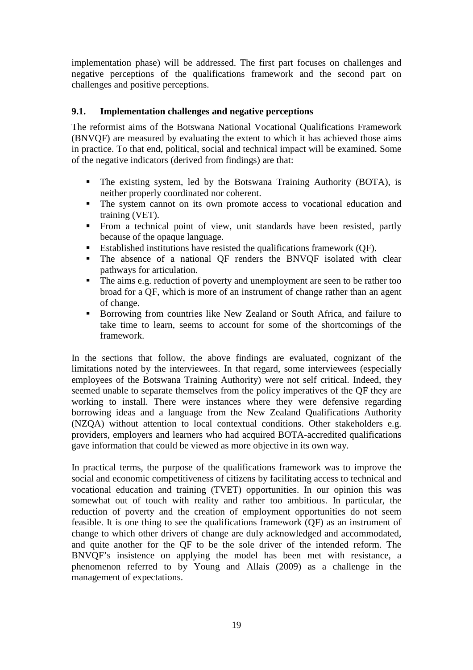implementation phase) will be addressed. The first part focuses on challenges and negative perceptions of the qualifications framework and the second part on challenges and positive perceptions.

#### **9.1. Implementation challenges and negative perceptions**

The reformist aims of the Botswana National Vocational Qualifications Framework (BNVQF) are measured by evaluating the extent to which it has achieved those aims in practice. To that end, political, social and technical impact will be examined. Some of the negative indicators (derived from findings) are that:

- The existing system, led by the Botswana Training Authority (BOTA), is neither properly coordinated nor coherent.
- The system cannot on its own promote access to vocational education and training (VET).
- From a technical point of view, unit standards have been resisted, partly because of the opaque language.
- Established institutions have resisted the qualifications framework (QF).
- The absence of a national QF renders the BNVQF isolated with clear pathways for articulation.
- The aims e.g. reduction of poverty and unemployment are seen to be rather too broad for a QF, which is more of an instrument of change rather than an agent of change.
- Borrowing from countries like New Zealand or South Africa, and failure to take time to learn, seems to account for some of the shortcomings of the framework.

In the sections that follow, the above findings are evaluated, cognizant of the limitations noted by the interviewees. In that regard, some interviewees (especially employees of the Botswana Training Authority) were not self critical. Indeed, they seemed unable to separate themselves from the policy imperatives of the QF they are working to install. There were instances where they were defensive regarding borrowing ideas and a language from the New Zealand Qualifications Authority (NZQA) without attention to local contextual conditions. Other stakeholders e.g. providers, employers and learners who had acquired BOTA-accredited qualifications gave information that could be viewed as more objective in its own way.

In practical terms, the purpose of the qualifications framework was to improve the social and economic competitiveness of citizens by facilitating access to technical and vocational education and training (TVET) opportunities. In our opinion this was somewhat out of touch with reality and rather too ambitious. In particular, the reduction of poverty and the creation of employment opportunities do not seem feasible. It is one thing to see the qualifications framework (QF) as an instrument of change to which other drivers of change are duly acknowledged and accommodated, and quite another for the QF to be the sole driver of the intended reform. The BNVQF's insistence on applying the model has been met with resistance, a phenomenon referred to by Young and Allais (2009) as a challenge in the management of expectations.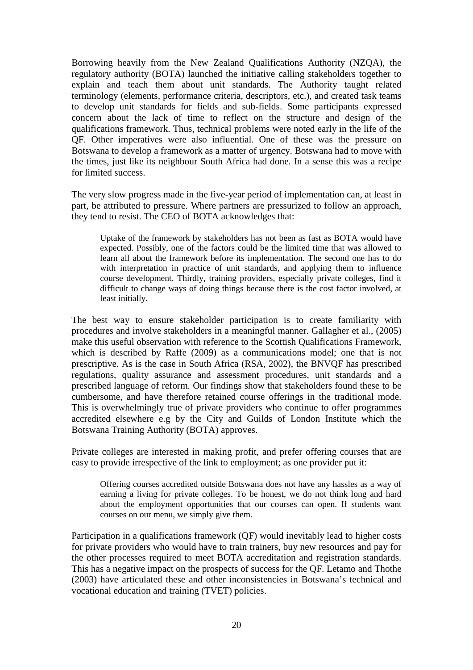Borrowing heavily from the New Zealand Qualifications Authority (NZQA), the regulatory authority (BOTA) launched the initiative calling stakeholders together to explain and teach them about unit standards. The Authority taught related terminology (elements, performance criteria, descriptors, etc.), and created task teams to develop unit standards for fields and sub-fields. Some participants expressed concern about the lack of time to reflect on the structure and design of the qualifications framework. Thus, technical problems were noted early in the life of the QF. Other imperatives were also influential. One of these was the pressure on Botswana to develop a framework as a matter of urgency. Botswana had to move with the times, just like its neighbour South Africa had done. In a sense this was a recipe for limited success.

The very slow progress made in the five-year period of implementation can, at least in part, be attributed to pressure. Where partners are pressurized to follow an approach, they tend to resist. The CEO of BOTA acknowledges that:

Uptake of the framework by stakeholders has not been as fast as BOTA would have expected. Possibly, one of the factors could be the limited time that was allowed to learn all about the framework before its implementation. The second one has to do with interpretation in practice of unit standards, and applying them to influence course development. Thirdly, training providers, especially private colleges, find it difficult to change ways of doing things because there is the cost factor involved, at least initially.

The best way to ensure stakeholder participation is to create familiarity with procedures and involve stakeholders in a meaningful manner. Gallagher et al., (2005) make this useful observation with reference to the Scottish Qualifications Framework, which is described by Raffe (2009) as a communications model; one that is not prescriptive. As is the case in South Africa (RSA, 2002), the BNVQF has prescribed regulations, quality assurance and assessment procedures, unit standards and a prescribed language of reform. Our findings show that stakeholders found these to be cumbersome, and have therefore retained course offerings in the traditional mode. This is overwhelmingly true of private providers who continue to offer programmes accredited elsewhere e.g by the City and Guilds of London Institute which the Botswana Training Authority (BOTA) approves.

Private colleges are interested in making profit, and prefer offering courses that are easy to provide irrespective of the link to employment; as one provider put it:

Offering courses accredited outside Botswana does not have any hassles as a way of earning a living for private colleges. To be honest, we do not think long and hard about the employment opportunities that our courses can open. If students want courses on our menu, we simply give them.

Participation in a qualifications framework (QF) would inevitably lead to higher costs for private providers who would have to train trainers, buy new resources and pay for the other processes required to meet BOTA accreditation and registration standards. This has a negative impact on the prospects of success for the QF. Letamo and Thothe (2003) have articulated these and other inconsistencies in Botswana's technical and vocational education and training (TVET) policies.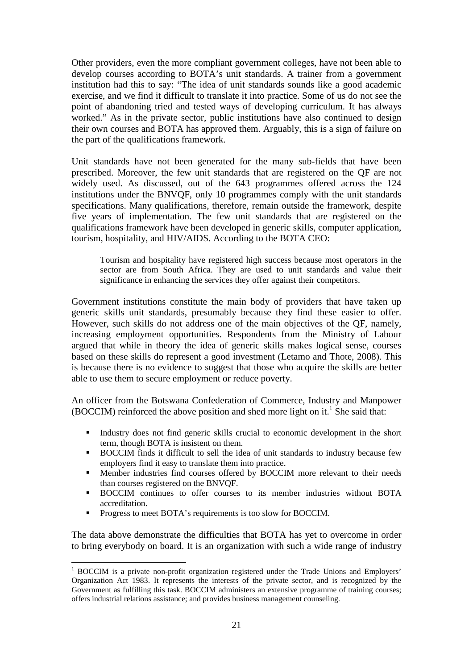Other providers, even the more compliant government colleges, have not been able to develop courses according to BOTA's unit standards. A trainer from a government institution had this to say: "The idea of unit standards sounds like a good academic exercise, and we find it difficult to translate it into practice. Some of us do not see the point of abandoning tried and tested ways of developing curriculum. It has always worked." As in the private sector, public institutions have also continued to design their own courses and BOTA has approved them. Arguably, this is a sign of failure on the part of the qualifications framework.

Unit standards have not been generated for the many sub-fields that have been prescribed. Moreover, the few unit standards that are registered on the QF are not widely used. As discussed, out of the 643 programmes offered across the 124 institutions under the BNVQF, only 10 programmes comply with the unit standards specifications. Many qualifications, therefore, remain outside the framework, despite five years of implementation. The few unit standards that are registered on the qualifications framework have been developed in generic skills, computer application, tourism, hospitality, and HIV/AIDS. According to the BOTA CEO:

Tourism and hospitality have registered high success because most operators in the sector are from South Africa. They are used to unit standards and value their significance in enhancing the services they offer against their competitors.

Government institutions constitute the main body of providers that have taken up generic skills unit standards, presumably because they find these easier to offer. However, such skills do not address one of the main objectives of the QF, namely, increasing employment opportunities. Respondents from the Ministry of Labour argued that while in theory the idea of generic skills makes logical sense, courses based on these skills do represent a good investment (Letamo and Thote, 2008). This is because there is no evidence to suggest that those who acquire the skills are better able to use them to secure employment or reduce poverty.

An officer from the Botswana Confederation of Commerce, Industry and Manpower  $(BOCCIM)$  reinforced the above position and shed more light on it.<sup>1</sup> She said that:

- Industry does not find generic skills crucial to economic development in the short term, though BOTA is insistent on them.
- **BOCCIM** finds it difficult to sell the idea of unit standards to industry because few employers find it easy to translate them into practice.
- Member industries find courses offered by BOCCIM more relevant to their needs than courses registered on the BNVQF.
- BOCCIM continues to offer courses to its member industries without BOTA accreditation.
- Progress to meet BOTA's requirements is too slow for BOCCIM.

The data above demonstrate the difficulties that BOTA has yet to overcome in order to bring everybody on board. It is an organization with such a wide range of industry

 1 BOCCIM is a private non-profit organization registered under the Trade Unions and Employers' Organization Act 1983. It represents the interests of the private sector, and is recognized by the Government as fulfilling this task. BOCCIM administers an extensive programme of training courses; offers industrial relations assistance; and provides business management counseling.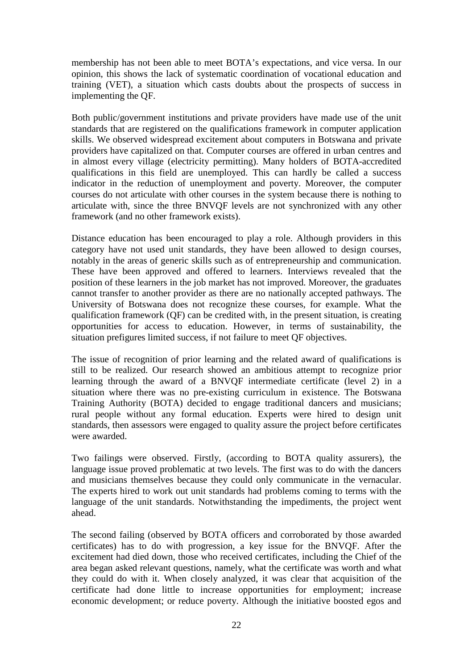membership has not been able to meet BOTA's expectations, and vice versa. In our opinion, this shows the lack of systematic coordination of vocational education and training (VET), a situation which casts doubts about the prospects of success in implementing the QF.

Both public/government institutions and private providers have made use of the unit standards that are registered on the qualifications framework in computer application skills. We observed widespread excitement about computers in Botswana and private providers have capitalized on that. Computer courses are offered in urban centres and in almost every village (electricity permitting). Many holders of BOTA-accredited qualifications in this field are unemployed. This can hardly be called a success indicator in the reduction of unemployment and poverty. Moreover, the computer courses do not articulate with other courses in the system because there is nothing to articulate with, since the three BNVQF levels are not synchronized with any other framework (and no other framework exists).

Distance education has been encouraged to play a role. Although providers in this category have not used unit standards, they have been allowed to design courses, notably in the areas of generic skills such as of entrepreneurship and communication. These have been approved and offered to learners. Interviews revealed that the position of these learners in the job market has not improved. Moreover, the graduates cannot transfer to another provider as there are no nationally accepted pathways. The University of Botswana does not recognize these courses, for example. What the qualification framework (QF) can be credited with, in the present situation, is creating opportunities for access to education. However, in terms of sustainability, the situation prefigures limited success, if not failure to meet QF objectives.

The issue of recognition of prior learning and the related award of qualifications is still to be realized. Our research showed an ambitious attempt to recognize prior learning through the award of a BNVQF intermediate certificate (level 2) in a situation where there was no pre-existing curriculum in existence. The Botswana Training Authority (BOTA) decided to engage traditional dancers and musicians; rural people without any formal education. Experts were hired to design unit standards, then assessors were engaged to quality assure the project before certificates were awarded.

Two failings were observed. Firstly, (according to BOTA quality assurers), the language issue proved problematic at two levels. The first was to do with the dancers and musicians themselves because they could only communicate in the vernacular. The experts hired to work out unit standards had problems coming to terms with the language of the unit standards. Notwithstanding the impediments, the project went ahead.

The second failing (observed by BOTA officers and corroborated by those awarded certificates) has to do with progression, a key issue for the BNVQF. After the excitement had died down, those who received certificates, including the Chief of the area began asked relevant questions, namely, what the certificate was worth and what they could do with it. When closely analyzed, it was clear that acquisition of the certificate had done little to increase opportunities for employment; increase economic development; or reduce poverty. Although the initiative boosted egos and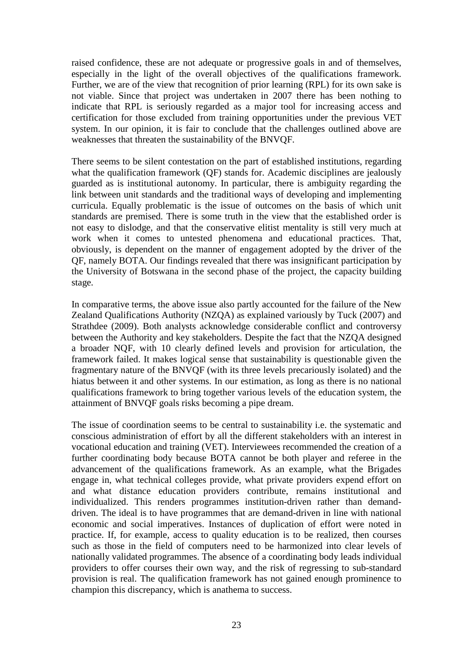raised confidence, these are not adequate or progressive goals in and of themselves, especially in the light of the overall objectives of the qualifications framework. Further, we are of the view that recognition of prior learning (RPL) for its own sake is not viable. Since that project was undertaken in 2007 there has been nothing to indicate that RPL is seriously regarded as a major tool for increasing access and certification for those excluded from training opportunities under the previous VET system. In our opinion, it is fair to conclude that the challenges outlined above are weaknesses that threaten the sustainability of the BNVQF.

There seems to be silent contestation on the part of established institutions, regarding what the qualification framework (QF) stands for. Academic disciplines are jealously guarded as is institutional autonomy. In particular, there is ambiguity regarding the link between unit standards and the traditional ways of developing and implementing curricula. Equally problematic is the issue of outcomes on the basis of which unit standards are premised. There is some truth in the view that the established order is not easy to dislodge, and that the conservative elitist mentality is still very much at work when it comes to untested phenomena and educational practices. That, obviously, is dependent on the manner of engagement adopted by the driver of the QF, namely BOTA. Our findings revealed that there was insignificant participation by the University of Botswana in the second phase of the project, the capacity building stage.

In comparative terms, the above issue also partly accounted for the failure of the New Zealand Qualifications Authority (NZQA) as explained variously by Tuck (2007) and Strathdee (2009). Both analysts acknowledge considerable conflict and controversy between the Authority and key stakeholders. Despite the fact that the NZQA designed a broader NQF, with 10 clearly defined levels and provision for articulation, the framework failed. It makes logical sense that sustainability is questionable given the fragmentary nature of the BNVQF (with its three levels precariously isolated) and the hiatus between it and other systems. In our estimation, as long as there is no national qualifications framework to bring together various levels of the education system, the attainment of BNVQF goals risks becoming a pipe dream.

The issue of coordination seems to be central to sustainability i.e. the systematic and conscious administration of effort by all the different stakeholders with an interest in vocational education and training (VET). Interviewees recommended the creation of a further coordinating body because BOTA cannot be both player and referee in the advancement of the qualifications framework. As an example, what the Brigades engage in, what technical colleges provide, what private providers expend effort on and what distance education providers contribute, remains institutional and individualized. This renders programmes institution-driven rather than demanddriven. The ideal is to have programmes that are demand-driven in line with national economic and social imperatives. Instances of duplication of effort were noted in practice. If, for example, access to quality education is to be realized, then courses such as those in the field of computers need to be harmonized into clear levels of nationally validated programmes. The absence of a coordinating body leads individual providers to offer courses their own way, and the risk of regressing to sub-standard provision is real. The qualification framework has not gained enough prominence to champion this discrepancy, which is anathema to success.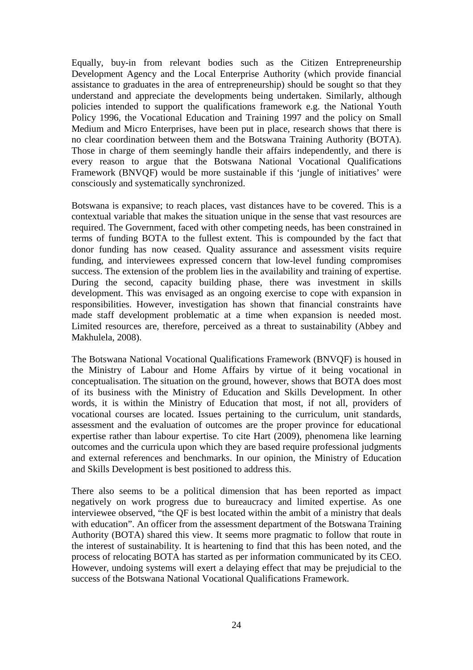Equally, buy-in from relevant bodies such as the Citizen Entrepreneurship Development Agency and the Local Enterprise Authority (which provide financial assistance to graduates in the area of entrepreneurship) should be sought so that they understand and appreciate the developments being undertaken. Similarly, although policies intended to support the qualifications framework e.g. the National Youth Policy 1996, the Vocational Education and Training 1997 and the policy on Small Medium and Micro Enterprises, have been put in place, research shows that there is no clear coordination between them and the Botswana Training Authority (BOTA). Those in charge of them seemingly handle their affairs independently, and there is every reason to argue that the Botswana National Vocational Qualifications Framework (BNVQF) would be more sustainable if this 'jungle of initiatives' were consciously and systematically synchronized.

Botswana is expansive; to reach places, vast distances have to be covered. This is a contextual variable that makes the situation unique in the sense that vast resources are required. The Government, faced with other competing needs, has been constrained in terms of funding BOTA to the fullest extent. This is compounded by the fact that donor funding has now ceased. Quality assurance and assessment visits require funding, and interviewees expressed concern that low-level funding compromises success. The extension of the problem lies in the availability and training of expertise. During the second, capacity building phase, there was investment in skills development. This was envisaged as an ongoing exercise to cope with expansion in responsibilities. However, investigation has shown that financial constraints have made staff development problematic at a time when expansion is needed most. Limited resources are, therefore, perceived as a threat to sustainability (Abbey and Makhulela, 2008).

The Botswana National Vocational Qualifications Framework (BNVQF) is housed in the Ministry of Labour and Home Affairs by virtue of it being vocational in conceptualisation. The situation on the ground, however, shows that BOTA does most of its business with the Ministry of Education and Skills Development. In other words, it is within the Ministry of Education that most, if not all, providers of vocational courses are located. Issues pertaining to the curriculum, unit standards, assessment and the evaluation of outcomes are the proper province for educational expertise rather than labour expertise. To cite Hart (2009), phenomena like learning outcomes and the curricula upon which they are based require professional judgments and external references and benchmarks. In our opinion, the Ministry of Education and Skills Development is best positioned to address this.

There also seems to be a political dimension that has been reported as impact negatively on work progress due to bureaucracy and limited expertise. As one interviewee observed, "the QF is best located within the ambit of a ministry that deals with education". An officer from the assessment department of the Botswana Training Authority (BOTA) shared this view. It seems more pragmatic to follow that route in the interest of sustainability. It is heartening to find that this has been noted, and the process of relocating BOTA has started as per information communicated by its CEO. However, undoing systems will exert a delaying effect that may be prejudicial to the success of the Botswana National Vocational Qualifications Framework.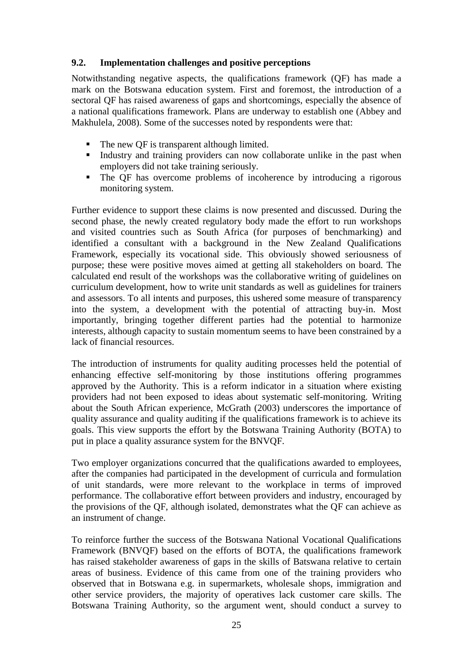#### **9.2. Implementation challenges and positive perceptions**

Notwithstanding negative aspects, the qualifications framework (QF) has made a mark on the Botswana education system. First and foremost, the introduction of a sectoral QF has raised awareness of gaps and shortcomings, especially the absence of a national qualifications framework. Plans are underway to establish one (Abbey and Makhulela, 2008). Some of the successes noted by respondents were that:

- The new QF is transparent although limited.
- Industry and training providers can now collaborate unlike in the past when employers did not take training seriously.
- The QF has overcome problems of incoherence by introducing a rigorous monitoring system.

Further evidence to support these claims is now presented and discussed. During the second phase, the newly created regulatory body made the effort to run workshops and visited countries such as South Africa (for purposes of benchmarking) and identified a consultant with a background in the New Zealand Qualifications Framework, especially its vocational side. This obviously showed seriousness of purpose; these were positive moves aimed at getting all stakeholders on board. The calculated end result of the workshops was the collaborative writing of guidelines on curriculum development, how to write unit standards as well as guidelines for trainers and assessors. To all intents and purposes, this ushered some measure of transparency into the system, a development with the potential of attracting buy-in. Most importantly, bringing together different parties had the potential to harmonize interests, although capacity to sustain momentum seems to have been constrained by a lack of financial resources.

The introduction of instruments for quality auditing processes held the potential of enhancing effective self-monitoring by those institutions offering programmes approved by the Authority. This is a reform indicator in a situation where existing providers had not been exposed to ideas about systematic self-monitoring. Writing about the South African experience, McGrath (2003) underscores the importance of quality assurance and quality auditing if the qualifications framework is to achieve its goals. This view supports the effort by the Botswana Training Authority (BOTA) to put in place a quality assurance system for the BNVQF.

Two employer organizations concurred that the qualifications awarded to employees, after the companies had participated in the development of curricula and formulation of unit standards, were more relevant to the workplace in terms of improved performance. The collaborative effort between providers and industry, encouraged by the provisions of the QF, although isolated, demonstrates what the QF can achieve as an instrument of change.

To reinforce further the success of the Botswana National Vocational Qualifications Framework (BNVQF) based on the efforts of BOTA, the qualifications framework has raised stakeholder awareness of gaps in the skills of Batswana relative to certain areas of business. Evidence of this came from one of the training providers who observed that in Botswana e.g. in supermarkets, wholesale shops, immigration and other service providers, the majority of operatives lack customer care skills. The Botswana Training Authority, so the argument went, should conduct a survey to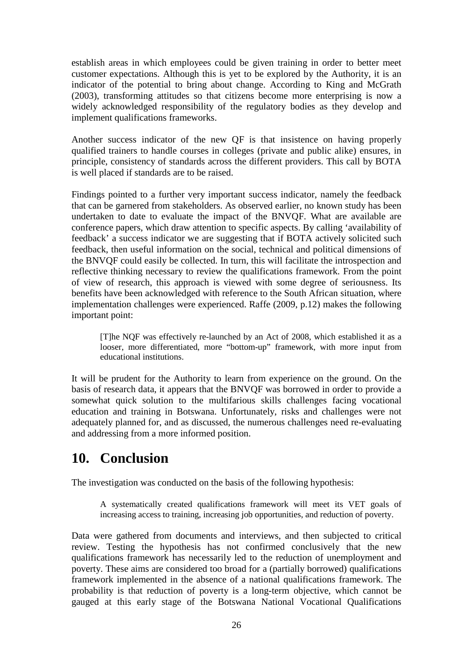establish areas in which employees could be given training in order to better meet customer expectations. Although this is yet to be explored by the Authority, it is an indicator of the potential to bring about change. According to King and McGrath (2003), transforming attitudes so that citizens become more enterprising is now a widely acknowledged responsibility of the regulatory bodies as they develop and implement qualifications frameworks.

Another success indicator of the new QF is that insistence on having properly qualified trainers to handle courses in colleges (private and public alike) ensures, in principle, consistency of standards across the different providers. This call by BOTA is well placed if standards are to be raised.

Findings pointed to a further very important success indicator, namely the feedback that can be garnered from stakeholders. As observed earlier, no known study has been undertaken to date to evaluate the impact of the BNVQF. What are available are conference papers, which draw attention to specific aspects. By calling 'availability of feedback' a success indicator we are suggesting that if BOTA actively solicited such feedback, then useful information on the social, technical and political dimensions of the BNVQF could easily be collected. In turn, this will facilitate the introspection and reflective thinking necessary to review the qualifications framework. From the point of view of research, this approach is viewed with some degree of seriousness. Its benefits have been acknowledged with reference to the South African situation, where implementation challenges were experienced. Raffe (2009, p.12) makes the following important point:

[T]he NQF was effectively re-launched by an Act of 2008, which established it as a looser, more differentiated, more "bottom-up" framework, with more input from educational institutions.

It will be prudent for the Authority to learn from experience on the ground. On the basis of research data, it appears that the BNVQF was borrowed in order to provide a somewhat quick solution to the multifarious skills challenges facing vocational education and training in Botswana. Unfortunately, risks and challenges were not adequately planned for, and as discussed, the numerous challenges need re-evaluating and addressing from a more informed position.

## **10. Conclusion**

The investigation was conducted on the basis of the following hypothesis:

A systematically created qualifications framework will meet its VET goals of increasing access to training, increasing job opportunities, and reduction of poverty.

Data were gathered from documents and interviews, and then subjected to critical review. Testing the hypothesis has not confirmed conclusively that the new qualifications framework has necessarily led to the reduction of unemployment and poverty. These aims are considered too broad for a (partially borrowed) qualifications framework implemented in the absence of a national qualifications framework. The probability is that reduction of poverty is a long-term objective, which cannot be gauged at this early stage of the Botswana National Vocational Qualifications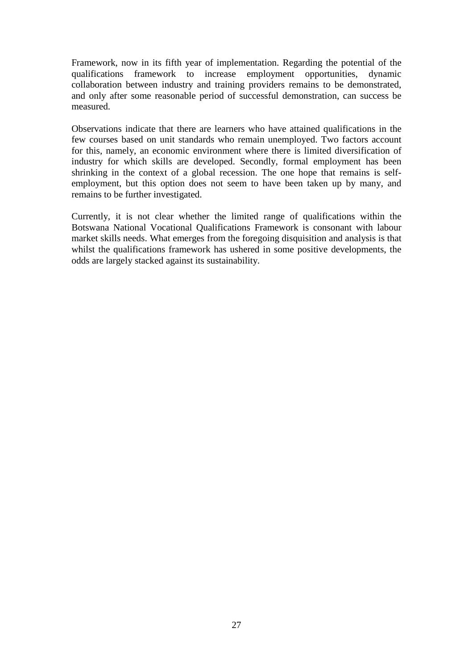Framework, now in its fifth year of implementation. Regarding the potential of the qualifications framework to increase employment opportunities, dynamic collaboration between industry and training providers remains to be demonstrated, and only after some reasonable period of successful demonstration, can success be measured.

Observations indicate that there are learners who have attained qualifications in the few courses based on unit standards who remain unemployed. Two factors account for this, namely, an economic environment where there is limited diversification of industry for which skills are developed. Secondly, formal employment has been shrinking in the context of a global recession. The one hope that remains is selfemployment, but this option does not seem to have been taken up by many, and remains to be further investigated.

Currently, it is not clear whether the limited range of qualifications within the Botswana National Vocational Qualifications Framework is consonant with labour market skills needs. What emerges from the foregoing disquisition and analysis is that whilst the qualifications framework has ushered in some positive developments, the odds are largely stacked against its sustainability.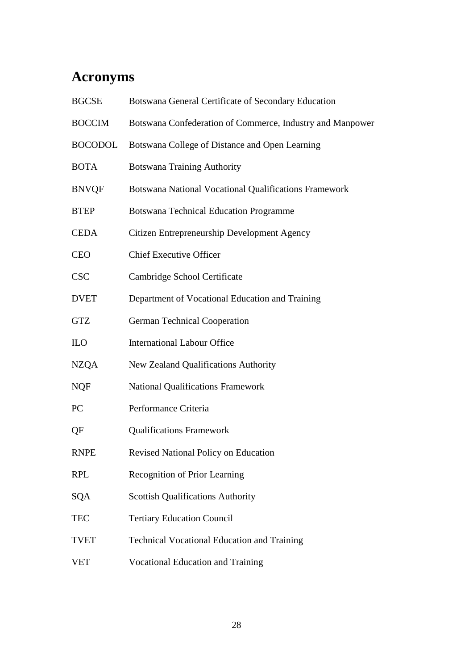# **Acronyms**

| <b>BGCSE</b>   | Botswana General Certificate of Secondary Education       |
|----------------|-----------------------------------------------------------|
| <b>BOCCIM</b>  | Botswana Confederation of Commerce, Industry and Manpower |
| <b>BOCODOL</b> | Botswana College of Distance and Open Learning            |
| <b>BOTA</b>    | <b>Botswana Training Authority</b>                        |
| <b>BNVQF</b>   | Botswana National Vocational Qualifications Framework     |
| <b>BTEP</b>    | <b>Botswana Technical Education Programme</b>             |
| <b>CEDA</b>    | Citizen Entrepreneurship Development Agency               |
| <b>CEO</b>     | <b>Chief Executive Officer</b>                            |
| <b>CSC</b>     | Cambridge School Certificate                              |
| <b>DVET</b>    | Department of Vocational Education and Training           |
| <b>GTZ</b>     | <b>German Technical Cooperation</b>                       |
| ILO            | <b>International Labour Office</b>                        |
| <b>NZQA</b>    | New Zealand Qualifications Authority                      |
| <b>NQF</b>     | <b>National Qualifications Framework</b>                  |
| PC             | Performance Criteria                                      |
| QF             | <b>Qualifications Framework</b>                           |
| <b>RNPE</b>    | Revised National Policy on Education                      |
| <b>RPL</b>     | Recognition of Prior Learning                             |
| SQA            | <b>Scottish Qualifications Authority</b>                  |
| <b>TEC</b>     | <b>Tertiary Education Council</b>                         |
| <b>TVET</b>    | <b>Technical Vocational Education and Training</b>        |
| <b>VET</b>     | <b>Vocational Education and Training</b>                  |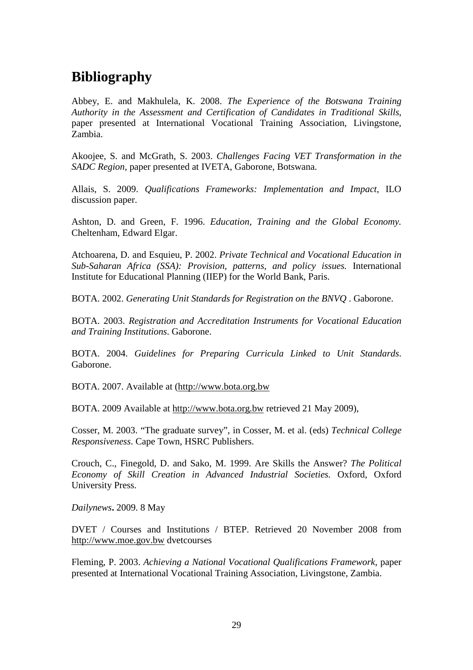### **Bibliography**

Abbey, E. and Makhulela, K. 2008. *The Experience of the Botswana Training Authority in the Assessment and Certification of Candidates in Traditional Skills*, paper presented at International Vocational Training Association, Livingstone, Zambia.

Akoojee, S. and McGrath, S. 2003. *Challenges Facing VET Transformation in the SADC Region*, paper presented at IVETA, Gaborone, Botswana.

Allais, S. 2009. *Qualifications Frameworks: Implementation and Impact*, ILO discussion paper.

Ashton, D. and Green, F. 1996. *Education, Training and the Global Economy.* Cheltenham, Edward Elgar.

Atchoarena, D. and Esquieu, P. 2002. *Private Technical and Vocational Education in Sub-Saharan Africa (SSA): Provision, patterns, and policy issues.* International Institute for Educational Planning (IIEP) for the World Bank, Paris.

BOTA. 2002. *Generating Unit Standards for Registration on the BNVQ* . Gaborone.

BOTA. 2003. *Registration and Accreditation Instruments for Vocational Education and Training Institutions*. Gaborone.

BOTA. 2004. *Guidelines for Preparing Curricula Linked to Unit Standards*. Gaborone.

BOTA. 2007. Available at (http://www.bota.org.bw

BOTA. 2009 Available at http://www.bota.org.bw retrieved 21 May 2009),

Cosser, M. 2003. "The graduate survey", in Cosser, M. et al. (eds) *Technical College Responsiveness*. Cape Town, HSRC Publishers.

Crouch, C., Finegold, D. and Sako, M. 1999. Are Skills the Answer? *The Political Economy of Skill Creation in Advanced Industrial Societies.* Oxford, Oxford University Press.

*Dailynews***.** 2009. 8 May

DVET / Courses and Institutions / BTEP. Retrieved 20 November 2008 from http://www.moe.gov.bw dvetcourses

Fleming, P. 2003. *Achieving a National Vocational Qualifications Framework*, paper presented at International Vocational Training Association, Livingstone, Zambia.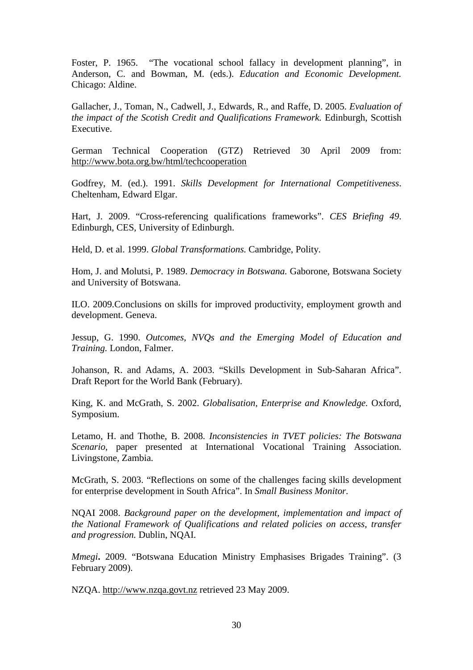Foster, P. 1965. "The vocational school fallacy in development planning", in Anderson, C. and Bowman, M. (eds.). *Education and Economic Development.* Chicago: Aldine.

Gallacher, J., Toman, N., Cadwell, J., Edwards, R., and Raffe, D. 2005. *Evaluation of the impact of the Scotish Credit and Qualifications Framework.* Edinburgh, Scottish Executive.

German Technical Cooperation (GTZ) Retrieved 30 April 2009 from: http://www.bota.org.bw/html/techcooperation

Godfrey, M. (ed.). 1991. *Skills Development for International Competitiveness*. Cheltenham, Edward Elgar.

Hart, J. 2009. "Cross-referencing qualifications frameworks". *CES Briefing 49*. Edinburgh, CES, University of Edinburgh.

Held, D. et al. 1999. *Global Transformations.* Cambridge, Polity.

Hom, J. and Molutsi, P. 1989. *Democracy in Botswana.* Gaborone, Botswana Society and University of Botswana.

ILO. 2009.Conclusions on skills for improved productivity, employment growth and development. Geneva.

Jessup, G. 1990. *Outcomes, NVQs and the Emerging Model of Education and Training.* London, Falmer.

Johanson, R. and Adams, A. 2003. "Skills Development in Sub-Saharan Africa". Draft Report for the World Bank (February).

King, K. and McGrath, S. 2002. *Globalisation, Enterprise and Knowledge.* Oxford, Symposium.

Letamo, H. and Thothe, B. 2008. *Inconsistencies in TVET policies: The Botswana Scenario*, paper presented at International Vocational Training Association. Livingstone, Zambia.

McGrath, S. 2003. "Reflections on some of the challenges facing skills development for enterprise development in South Africa". In *Small Business Monitor.* 

NQAI 2008. *Background paper on the development, implementation and impact of the National Framework of Qualifications and related policies on access, transfer and progression.* Dublin, NQAI.

*Mmegi***.** 2009. "Botswana Education Ministry Emphasises Brigades Training". (3) February 2009).

NZQA. http://www.nzqa.govt.nz retrieved 23 May 2009.